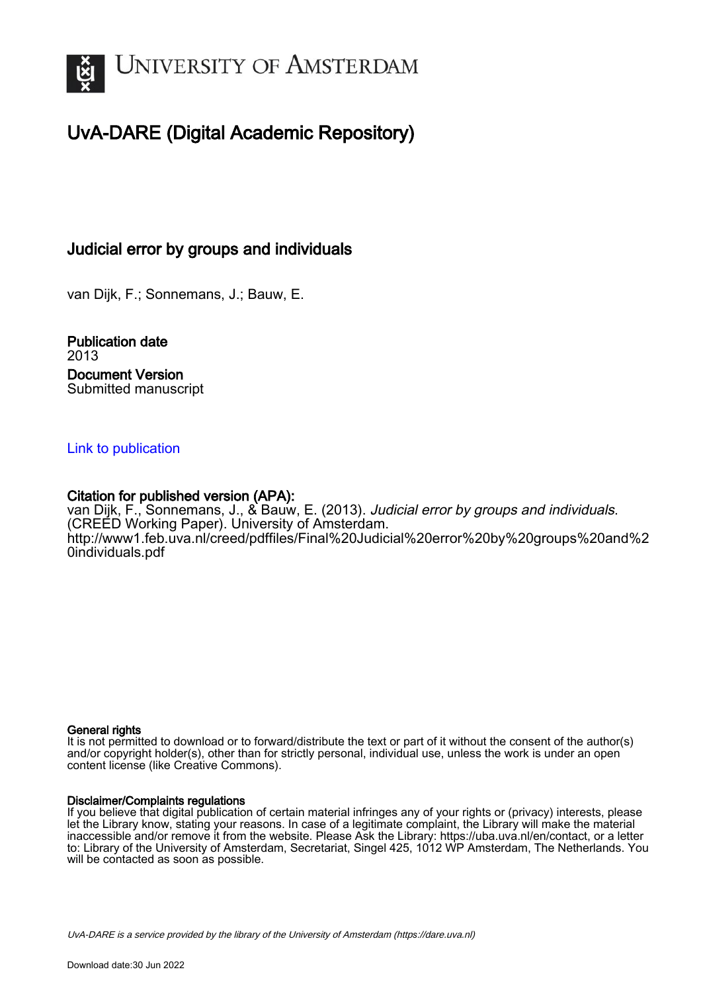

# UvA-DARE (Digital Academic Repository)

# Judicial error by groups and individuals

van Dijk, F.; Sonnemans, J.; Bauw, E.

Publication date 2013 Document Version Submitted manuscript

## [Link to publication](https://dare.uva.nl/personal/pure/en/publications/judicial-error-by-groups-and-individuals(7e9dfebb-54e1-4bb7-9c8d-d020e33dfecc).html)

#### Citation for published version (APA):

van Dijk, F., Sonnemans, J., & Bauw, E. (2013). Judicial error by groups and individuals. (CREED Working Paper). University of Amsterdam. [http://www1.feb.uva.nl/creed/pdffiles/Final%20Judicial%20error%20by%20groups%20and%2](http://www1.feb.uva.nl/creed/pdffiles/Final%20Judicial%20error%20by%20groups%20and%20individuals.pdf) [0individuals.pdf](http://www1.feb.uva.nl/creed/pdffiles/Final%20Judicial%20error%20by%20groups%20and%20individuals.pdf)

#### General rights

It is not permitted to download or to forward/distribute the text or part of it without the consent of the author(s) and/or copyright holder(s), other than for strictly personal, individual use, unless the work is under an open content license (like Creative Commons).

#### Disclaimer/Complaints regulations

If you believe that digital publication of certain material infringes any of your rights or (privacy) interests, please let the Library know, stating your reasons. In case of a legitimate complaint, the Library will make the material inaccessible and/or remove it from the website. Please Ask the Library: https://uba.uva.nl/en/contact, or a letter to: Library of the University of Amsterdam, Secretariat, Singel 425, 1012 WP Amsterdam, The Netherlands. You will be contacted as soon as possible.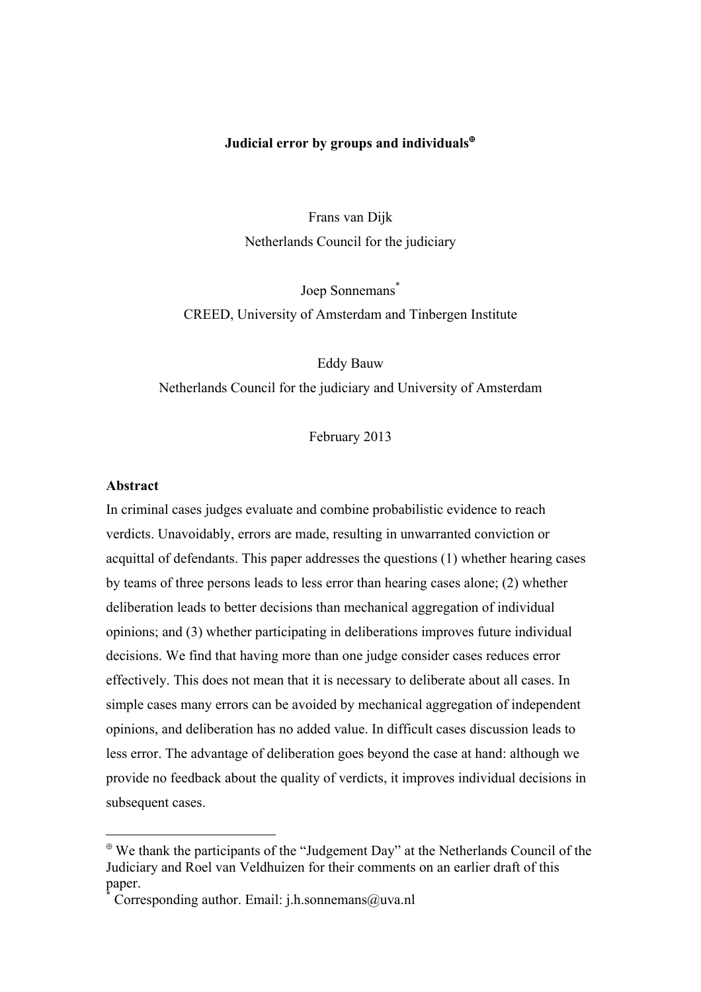#### **Judicial error by groups and individuals**<sup>⊕</sup>

Frans van Dijk Netherlands Council for the judiciary

Joep Sonnemans<sup>\*</sup> CREED, University of Amsterdam and Tinbergen Institute

Eddy Bauw Netherlands Council for the judiciary and University of Amsterdam

February 2013

#### **Abstract**

In criminal cases judges evaluate and combine probabilistic evidence to reach verdicts. Unavoidably, errors are made, resulting in unwarranted conviction or acquittal of defendants. This paper addresses the questions (1) whether hearing cases by teams of three persons leads to less error than hearing cases alone; (2) whether deliberation leads to better decisions than mechanical aggregation of individual opinions; and (3) whether participating in deliberations improves future individual decisions. We find that having more than one judge consider cases reduces error effectively. This does not mean that it is necessary to deliberate about all cases. In simple cases many errors can be avoided by mechanical aggregation of independent opinions, and deliberation has no added value. In difficult cases discussion leads to less error. The advantage of deliberation goes beyond the case at hand: although we provide no feedback about the quality of verdicts, it improves individual decisions in subsequent cases.

!!!!!!!!!!!!!!!!!!!!!!!!!!!!!!!!!!!!!!!!!!!!!!!!!!!!!!!

<sup>⊕</sup> We thank the participants of the "Judgement Day" at the Netherlands Council of the Judiciary and Roel van Veldhuizen for their comments on an earlier draft of this paper.

Corresponding author. Email: j.h.sonnemans@uva.nl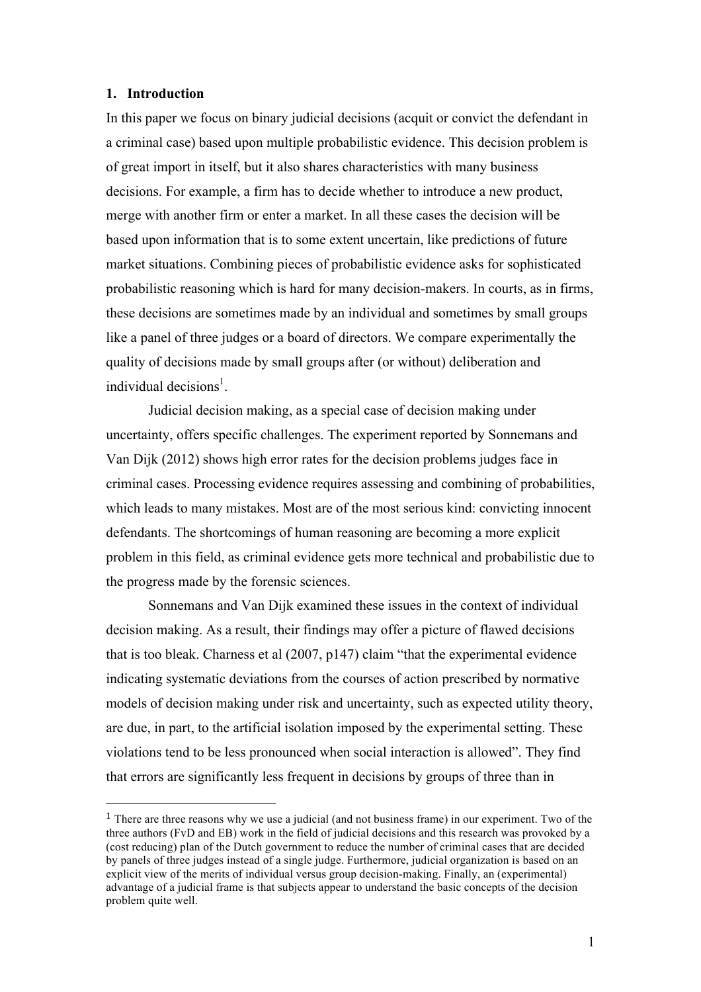#### **1. Introduction**

In this paper we focus on binary judicial decisions (acquit or convict the defendant in a criminal case) based upon multiple probabilistic evidence. This decision problem is of great import in itself, but it also shares characteristics with many business decisions. For example, a firm has to decide whether to introduce a new product, merge with another firm or enter a market. In all these cases the decision will be based upon information that is to some extent uncertain, like predictions of future market situations. Combining pieces of probabilistic evidence asks for sophisticated probabilistic reasoning which is hard for many decision-makers. In courts, as in firms, these decisions are sometimes made by an individual and sometimes by small groups like a panel of three judges or a board of directors. We compare experimentally the quality of decisions made by small groups after (or without) deliberation and individual decisions<sup>1</sup>.

Judicial decision making, as a special case of decision making under uncertainty, offers specific challenges. The experiment reported by Sonnemans and Van Dijk (2012) shows high error rates for the decision problems judges face in criminal cases. Processing evidence requires assessing and combining of probabilities, which leads to many mistakes. Most are of the most serious kind: convicting innocent defendants. The shortcomings of human reasoning are becoming a more explicit problem in this field, as criminal evidence gets more technical and probabilistic due to the progress made by the forensic sciences.

Sonnemans and Van Dijk examined these issues in the context of individual decision making. As a result, their findings may offer a picture of flawed decisions that is too bleak. Charness et al (2007, p147) claim "that the experimental evidence indicating systematic deviations from the courses of action prescribed by normative models of decision making under risk and uncertainty, such as expected utility theory, are due, in part, to the artificial isolation imposed by the experimental setting. These violations tend to be less pronounced when social interaction is allowed". They find that errors are significantly less frequent in decisions by groups of three than in

!!!!!!!!!!!!!!!!!!!!!!!!!!!!!!!!!!!!!!!!!!!!!!!!!!!!!!!

<sup>1</sup> There are three reasons why we use a judicial (and not business frame) in our experiment. Two of the three authors (FvD and EB) work in the field of judicial decisions and this research was provoked by a (cost reducing) plan of the Dutch government to reduce the number of criminal cases that are decided by panels of three judges instead of a single judge. Furthermore, judicial organization is based on an explicit view of the merits of individual versus group decision-making. Finally, an (experimental) advantage of a judicial frame is that subjects appear to understand the basic concepts of the decision problem quite well.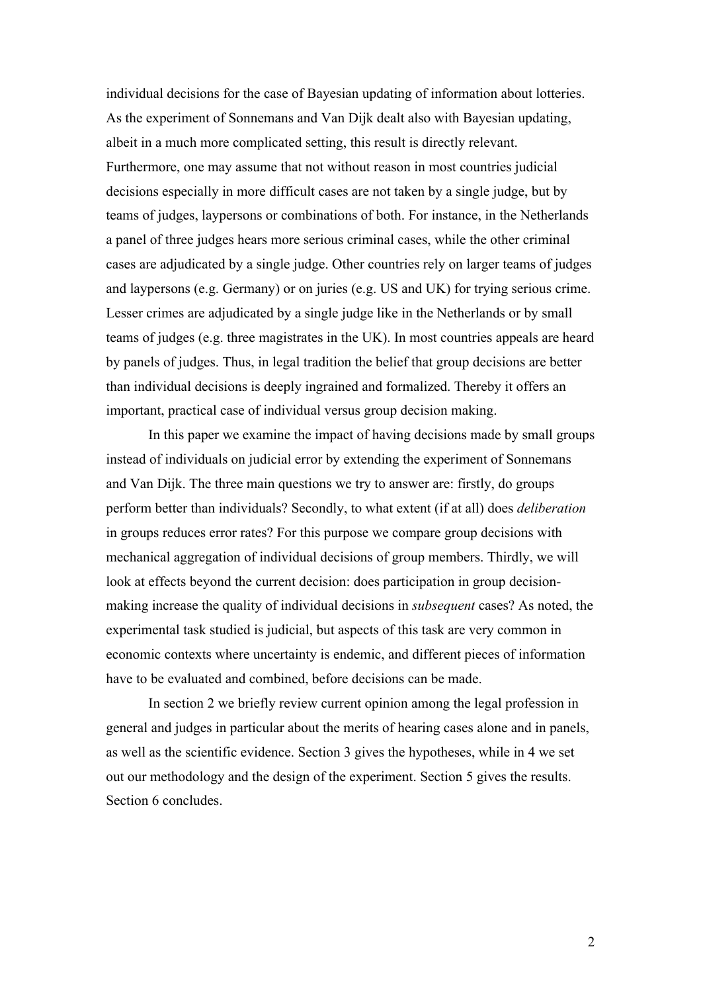individual decisions for the case of Bayesian updating of information about lotteries. As the experiment of Sonnemans and Van Dijk dealt also with Bayesian updating, albeit in a much more complicated setting, this result is directly relevant. Furthermore, one may assume that not without reason in most countries judicial decisions especially in more difficult cases are not taken by a single judge, but by teams of judges, laypersons or combinations of both. For instance, in the Netherlands a panel of three judges hears more serious criminal cases, while the other criminal cases are adjudicated by a single judge. Other countries rely on larger teams of judges and laypersons (e.g. Germany) or on juries (e.g. US and UK) for trying serious crime. Lesser crimes are adjudicated by a single judge like in the Netherlands or by small teams of judges (e.g. three magistrates in the UK). In most countries appeals are heard by panels of judges. Thus, in legal tradition the belief that group decisions are better than individual decisions is deeply ingrained and formalized. Thereby it offers an important, practical case of individual versus group decision making.

In this paper we examine the impact of having decisions made by small groups instead of individuals on judicial error by extending the experiment of Sonnemans and Van Dijk. The three main questions we try to answer are: firstly, do groups perform better than individuals? Secondly, to what extent (if at all) does *deliberation* in groups reduces error rates? For this purpose we compare group decisions with mechanical aggregation of individual decisions of group members. Thirdly, we will look at effects beyond the current decision: does participation in group decisionmaking increase the quality of individual decisions in *subsequent* cases? As noted, the experimental task studied is judicial, but aspects of this task are very common in economic contexts where uncertainty is endemic, and different pieces of information have to be evaluated and combined, before decisions can be made.

In section 2 we briefly review current opinion among the legal profession in general and judges in particular about the merits of hearing cases alone and in panels, as well as the scientific evidence. Section 3 gives the hypotheses, while in 4 we set out our methodology and the design of the experiment. Section 5 gives the results. Section 6 concludes.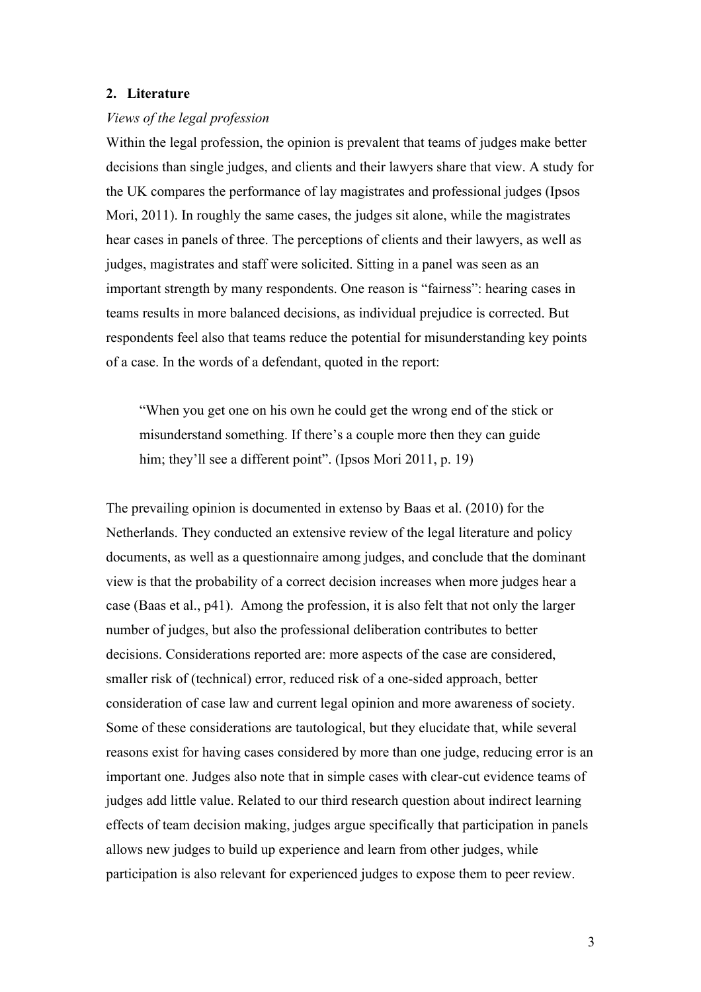#### **2. Literature**

#### *Views of the legal profession*

Within the legal profession, the opinion is prevalent that teams of judges make better decisions than single judges, and clients and their lawyers share that view. A study for the UK compares the performance of lay magistrates and professional judges (Ipsos Mori, 2011). In roughly the same cases, the judges sit alone, while the magistrates hear cases in panels of three. The perceptions of clients and their lawyers, as well as judges, magistrates and staff were solicited. Sitting in a panel was seen as an important strength by many respondents. One reason is "fairness": hearing cases in teams results in more balanced decisions, as individual prejudice is corrected. But respondents feel also that teams reduce the potential for misunderstanding key points of a case. In the words of a defendant, quoted in the report:

"When you get one on his own he could get the wrong end of the stick or misunderstand something. If there's a couple more then they can guide him; they'll see a different point". (Ipsos Mori 2011, p. 19)

The prevailing opinion is documented in extenso by Baas et al. (2010) for the Netherlands. They conducted an extensive review of the legal literature and policy documents, as well as a questionnaire among judges, and conclude that the dominant view is that the probability of a correct decision increases when more judges hear a case (Baas et al., p41). Among the profession, it is also felt that not only the larger number of judges, but also the professional deliberation contributes to better decisions. Considerations reported are: more aspects of the case are considered, smaller risk of (technical) error, reduced risk of a one-sided approach, better consideration of case law and current legal opinion and more awareness of society. Some of these considerations are tautological, but they elucidate that, while several reasons exist for having cases considered by more than one judge, reducing error is an important one. Judges also note that in simple cases with clear-cut evidence teams of judges add little value. Related to our third research question about indirect learning effects of team decision making, judges argue specifically that participation in panels allows new judges to build up experience and learn from other judges, while participation is also relevant for experienced judges to expose them to peer review.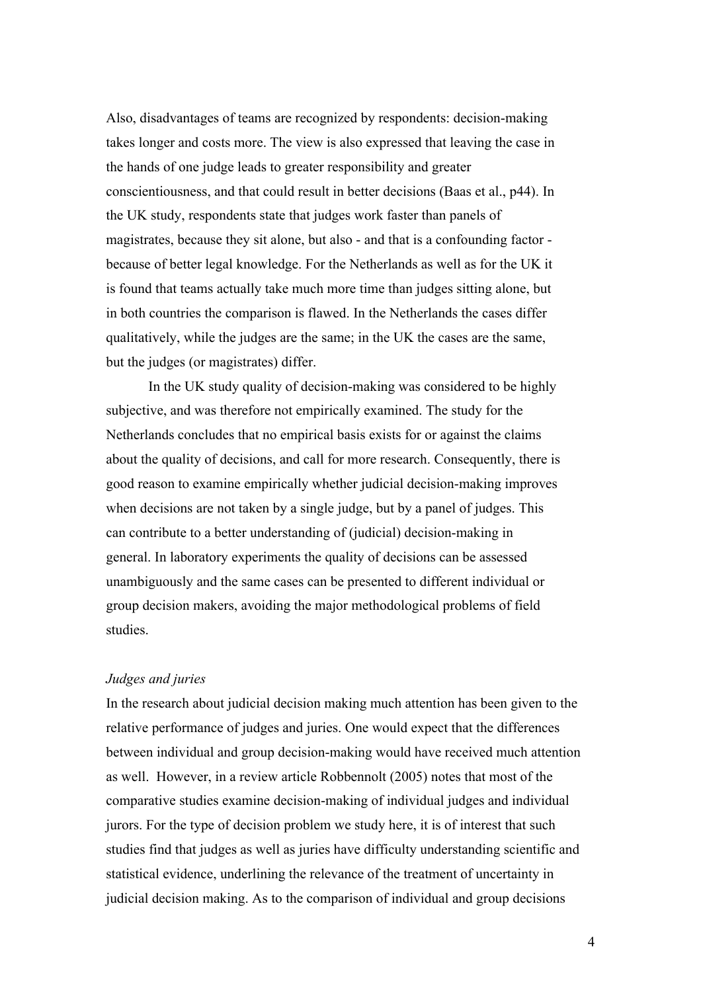Also, disadvantages of teams are recognized by respondents: decision-making takes longer and costs more. The view is also expressed that leaving the case in the hands of one judge leads to greater responsibility and greater conscientiousness, and that could result in better decisions (Baas et al., p44). In the UK study, respondents state that judges work faster than panels of magistrates, because they sit alone, but also - and that is a confounding factor because of better legal knowledge. For the Netherlands as well as for the UK it is found that teams actually take much more time than judges sitting alone, but in both countries the comparison is flawed. In the Netherlands the cases differ qualitatively, while the judges are the same; in the UK the cases are the same, but the judges (or magistrates) differ.

In the UK study quality of decision-making was considered to be highly subjective, and was therefore not empirically examined. The study for the Netherlands concludes that no empirical basis exists for or against the claims about the quality of decisions, and call for more research. Consequently, there is good reason to examine empirically whether judicial decision-making improves when decisions are not taken by a single judge, but by a panel of judges. This can contribute to a better understanding of (judicial) decision-making in general. In laboratory experiments the quality of decisions can be assessed unambiguously and the same cases can be presented to different individual or group decision makers, avoiding the major methodological problems of field studies.

#### *Judges and juries*

In the research about judicial decision making much attention has been given to the relative performance of judges and juries. One would expect that the differences between individual and group decision-making would have received much attention as well. However, in a review article Robbennolt (2005) notes that most of the comparative studies examine decision-making of individual judges and individual jurors. For the type of decision problem we study here, it is of interest that such studies find that judges as well as juries have difficulty understanding scientific and statistical evidence, underlining the relevance of the treatment of uncertainty in judicial decision making. As to the comparison of individual and group decisions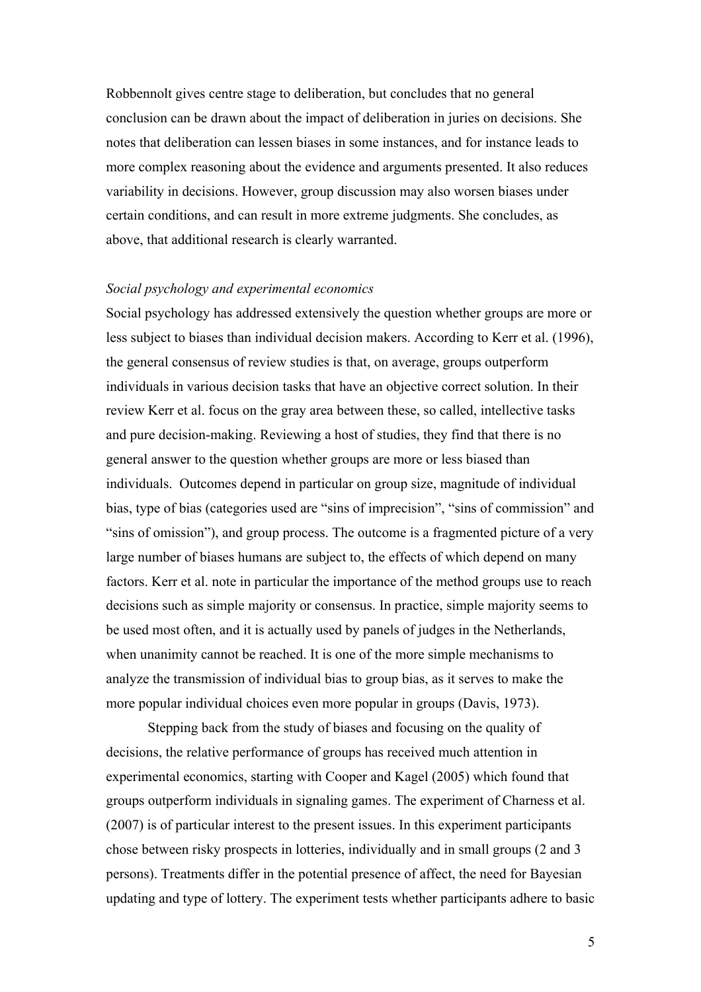Robbennolt gives centre stage to deliberation, but concludes that no general conclusion can be drawn about the impact of deliberation in juries on decisions. She notes that deliberation can lessen biases in some instances, and for instance leads to more complex reasoning about the evidence and arguments presented. It also reduces variability in decisions. However, group discussion may also worsen biases under certain conditions, and can result in more extreme judgments. She concludes, as above, that additional research is clearly warranted.

#### *Social psychology and experimental economics*

Social psychology has addressed extensively the question whether groups are more or less subject to biases than individual decision makers. According to Kerr et al. (1996), the general consensus of review studies is that, on average, groups outperform individuals in various decision tasks that have an objective correct solution. In their review Kerr et al. focus on the gray area between these, so called, intellective tasks and pure decision-making. Reviewing a host of studies, they find that there is no general answer to the question whether groups are more or less biased than individuals. Outcomes depend in particular on group size, magnitude of individual bias, type of bias (categories used are "sins of imprecision", "sins of commission" and "sins of omission"), and group process. The outcome is a fragmented picture of a very large number of biases humans are subject to, the effects of which depend on many factors. Kerr et al. note in particular the importance of the method groups use to reach decisions such as simple majority or consensus. In practice, simple majority seems to be used most often, and it is actually used by panels of judges in the Netherlands, when unanimity cannot be reached. It is one of the more simple mechanisms to analyze the transmission of individual bias to group bias, as it serves to make the more popular individual choices even more popular in groups (Davis, 1973).

Stepping back from the study of biases and focusing on the quality of decisions, the relative performance of groups has received much attention in experimental economics, starting with Cooper and Kagel (2005) which found that groups outperform individuals in signaling games. The experiment of Charness et al. (2007) is of particular interest to the present issues. In this experiment participants chose between risky prospects in lotteries, individually and in small groups (2 and 3 persons). Treatments differ in the potential presence of affect, the need for Bayesian updating and type of lottery. The experiment tests whether participants adhere to basic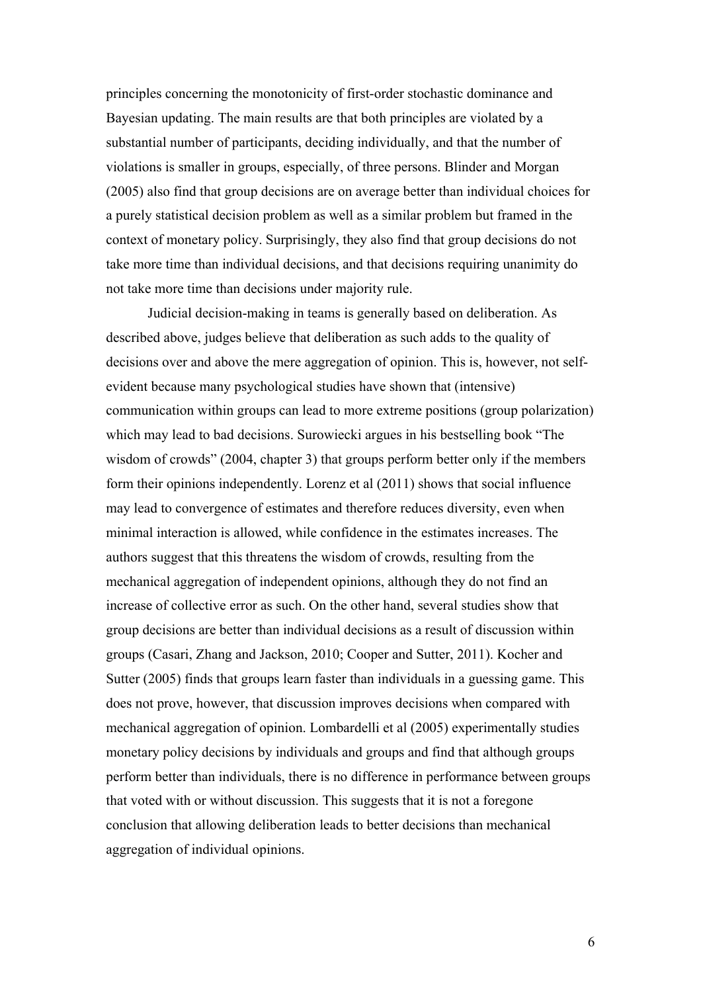principles concerning the monotonicity of first-order stochastic dominance and Bayesian updating. The main results are that both principles are violated by a substantial number of participants, deciding individually, and that the number of violations is smaller in groups, especially, of three persons. Blinder and Morgan (2005) also find that group decisions are on average better than individual choices for a purely statistical decision problem as well as a similar problem but framed in the context of monetary policy. Surprisingly, they also find that group decisions do not take more time than individual decisions, and that decisions requiring unanimity do not take more time than decisions under majority rule.

Judicial decision-making in teams is generally based on deliberation. As described above, judges believe that deliberation as such adds to the quality of decisions over and above the mere aggregation of opinion. This is, however, not selfevident because many psychological studies have shown that (intensive) communication within groups can lead to more extreme positions (group polarization) which may lead to bad decisions. Surowiecki argues in his bestselling book "The wisdom of crowds" (2004, chapter 3) that groups perform better only if the members form their opinions independently. Lorenz et al (2011) shows that social influence may lead to convergence of estimates and therefore reduces diversity, even when minimal interaction is allowed, while confidence in the estimates increases. The authors suggest that this threatens the wisdom of crowds, resulting from the mechanical aggregation of independent opinions, although they do not find an increase of collective error as such. On the other hand, several studies show that group decisions are better than individual decisions as a result of discussion within groups (Casari, Zhang and Jackson, 2010; Cooper and Sutter, 2011). Kocher and Sutter (2005) finds that groups learn faster than individuals in a guessing game. This does not prove, however, that discussion improves decisions when compared with mechanical aggregation of opinion. Lombardelli et al (2005) experimentally studies monetary policy decisions by individuals and groups and find that although groups perform better than individuals, there is no difference in performance between groups that voted with or without discussion. This suggests that it is not a foregone conclusion that allowing deliberation leads to better decisions than mechanical aggregation of individual opinions.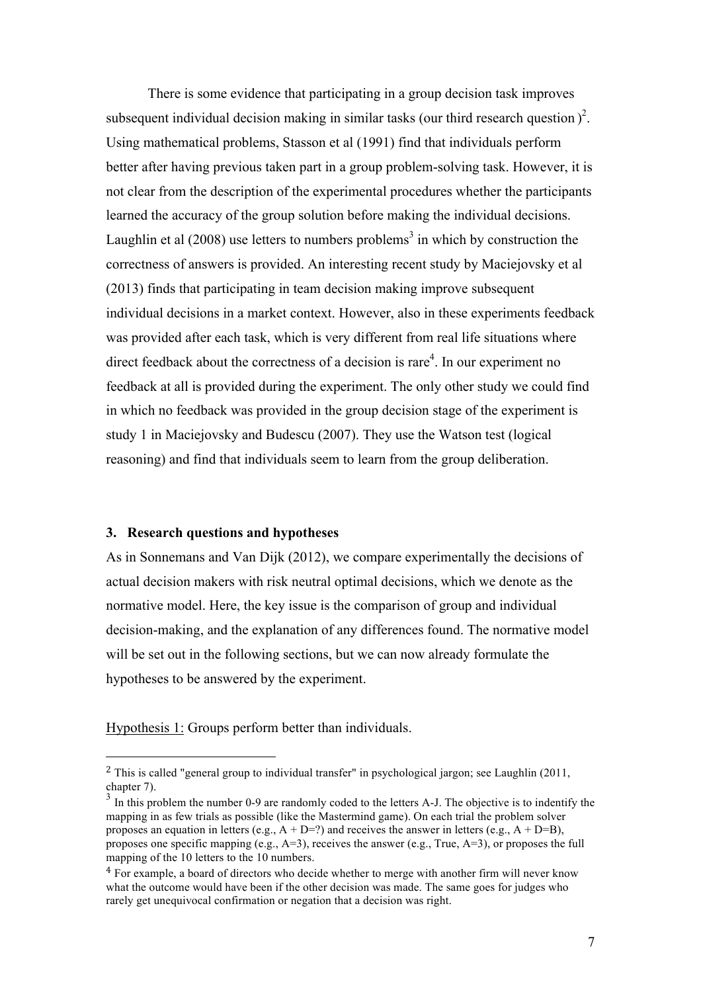There is some evidence that participating in a group decision task improves subsequent individual decision making in similar tasks (our third research question)<sup>2</sup>. Using mathematical problems, Stasson et al (1991) find that individuals perform better after having previous taken part in a group problem-solving task. However, it is not clear from the description of the experimental procedures whether the participants learned the accuracy of the group solution before making the individual decisions. Laughlin et al  $(2008)$  use letters to numbers problems<sup>3</sup> in which by construction the correctness of answers is provided. An interesting recent study by Maciejovsky et al (2013) finds that participating in team decision making improve subsequent individual decisions in a market context. However, also in these experiments feedback was provided after each task, which is very different from real life situations where direct feedback about the correctness of a decision is rare<sup>4</sup>. In our experiment no feedback at all is provided during the experiment. The only other study we could find in which no feedback was provided in the group decision stage of the experiment is study 1 in Maciejovsky and Budescu (2007). They use the Watson test (logical reasoning) and find that individuals seem to learn from the group deliberation.

#### **3. Research questions and hypotheses**

As in Sonnemans and Van Dijk (2012), we compare experimentally the decisions of actual decision makers with risk neutral optimal decisions, which we denote as the normative model. Here, the key issue is the comparison of group and individual decision-making, and the explanation of any differences found. The normative model will be set out in the following sections, but we can now already formulate the hypotheses to be answered by the experiment.

Hypothesis 1: Groups perform better than individuals.

!!!!!!!!!!!!!!!!!!!!!!!!!!!!!!!!!!!!!!!!!!!!!!!!!!!!!!!

<sup>2</sup> This is called "general group to individual transfer" in psychological jargon; see Laughlin (2011, chapter 7).

 $3 \text{ In this problem the number 0-9 are randomly coded to the letters A-J. The objective is to indentify the$ mapping in as few trials as possible (like the Mastermind game). On each trial the problem solver proposes an equation in letters (e.g.,  $A + D=$ ?) and receives the answer in letters (e.g.,  $A + D=$ B), proposes one specific mapping (e.g.,  $A=3$ ), receives the answer (e.g., True,  $A=3$ ), or proposes the full mapping of the 10 letters to the 10 numbers.

<sup>4</sup> For example, a board of directors who decide whether to merge with another firm will never know what the outcome would have been if the other decision was made. The same goes for judges who rarely get unequivocal confirmation or negation that a decision was right.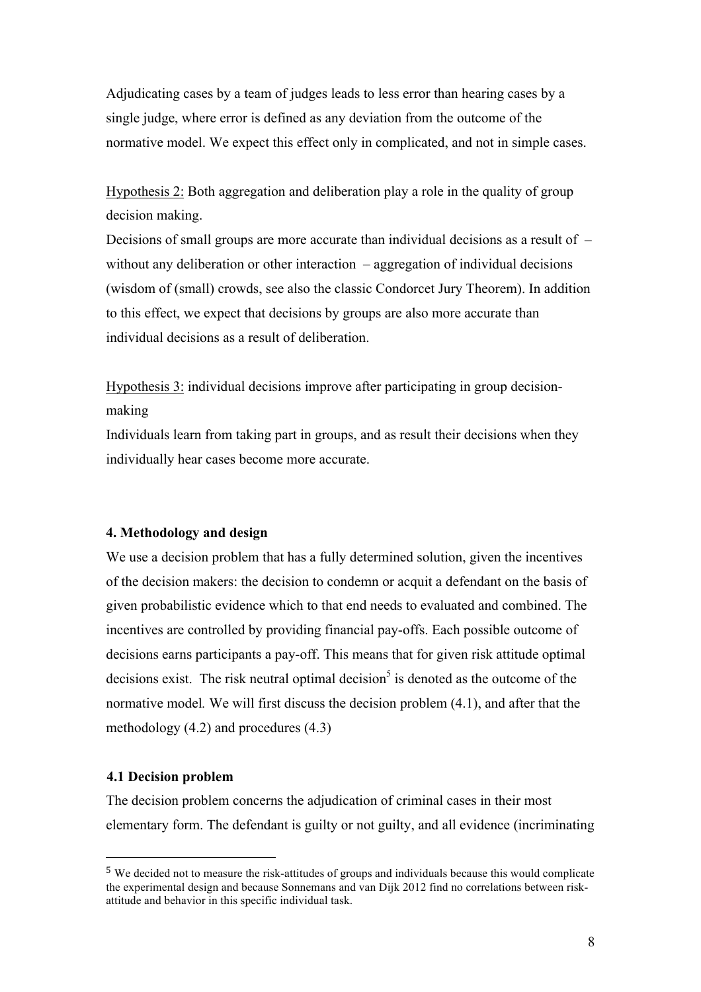Adjudicating cases by a team of judges leads to less error than hearing cases by a single judge, where error is defined as any deviation from the outcome of the normative model. We expect this effect only in complicated, and not in simple cases.

Hypothesis 2: Both aggregation and deliberation play a role in the quality of group decision making.

Decisions of small groups are more accurate than individual decisions as a result of  $$ without any deliberation or other interaction – aggregation of individual decisions (wisdom of (small) crowds, see also the classic Condorcet Jury Theorem). In addition to this effect, we expect that decisions by groups are also more accurate than individual decisions as a result of deliberation.

Hypothesis 3: individual decisions improve after participating in group decisionmaking

Individuals learn from taking part in groups, and as result their decisions when they individually hear cases become more accurate.

#### **4. Methodology and design**

We use a decision problem that has a fully determined solution, given the incentives of the decision makers: the decision to condemn or acquit a defendant on the basis of given probabilistic evidence which to that end needs to evaluated and combined. The incentives are controlled by providing financial pay-offs. Each possible outcome of decisions earns participants a pay-off. This means that for given risk attitude optimal decisions exist. The risk neutral optimal decision<sup>5</sup> is denoted as the outcome of the normative model*.* We will first discuss the decision problem (4.1), and after that the methodology (4.2) and procedures (4.3)

#### **4.1 Decision problem**

!!!!!!!!!!!!!!!!!!!!!!!!!!!!!!!!!!!!!!!!!!!!!!!!!!!!!!!

The decision problem concerns the adjudication of criminal cases in their most elementary form. The defendant is guilty or not guilty, and all evidence (incriminating

<sup>5</sup> We decided not to measure the risk-attitudes of groups and individuals because this would complicate the experimental design and because Sonnemans and van Dijk 2012 find no correlations between riskattitude and behavior in this specific individual task.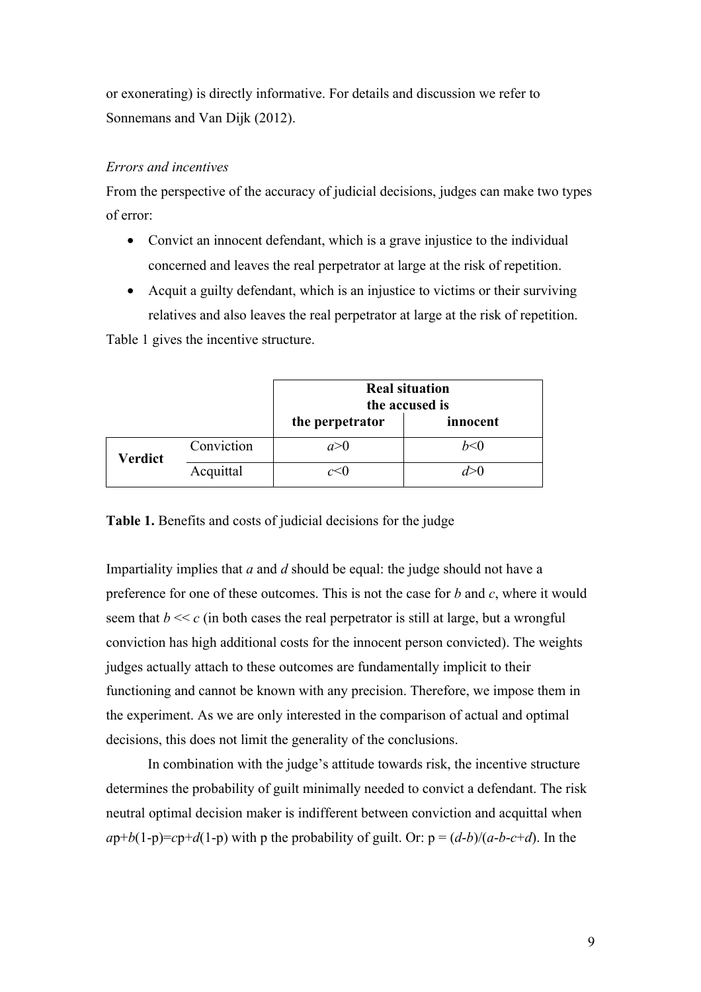or exonerating) is directly informative. For details and discussion we refer to Sonnemans and Van Dijk (2012).

# *Errors and incentives*

From the perspective of the accuracy of judicial decisions, judges can make two types of error:

- Convict an innocent defendant, which is a grave injustice to the individual concerned and leaves the real perpetrator at large at the risk of repetition.
- Acquit a guilty defendant, which is an injustice to victims or their surviving relatives and also leaves the real perpetrator at large at the risk of repetition.

|         |            |                 | <b>Real situation</b><br>the accused is |
|---------|------------|-----------------|-----------------------------------------|
|         |            | the perpetrator | innocent                                |
| Verdict | Conviction | a>0             | h<0                                     |
|         | Acquittal  | ?<∪             |                                         |

Table 1 gives the incentive structure.

**Table 1.** Benefits and costs of judicial decisions for the judge

Impartiality implies that *a* and *d* should be equal: the judge should not have a preference for one of these outcomes. This is not the case for *b* and *c*, where it would seem that  $b \ll c$  (in both cases the real perpetrator is still at large, but a wrongful conviction has high additional costs for the innocent person convicted). The weights judges actually attach to these outcomes are fundamentally implicit to their functioning and cannot be known with any precision. Therefore, we impose them in the experiment. As we are only interested in the comparison of actual and optimal decisions, this does not limit the generality of the conclusions.

In combination with the judge's attitude towards risk, the incentive structure determines the probability of guilt minimally needed to convict a defendant. The risk neutral optimal decision maker is indifferent between conviction and acquittal when  $a$ <sup>p+</sup>*b*(1-p)=*c*<sup>p+</sup>*d*(1-p) with p the probability of guilt. Or:  $p = (d-b)/(a-b-c+d)$ . In the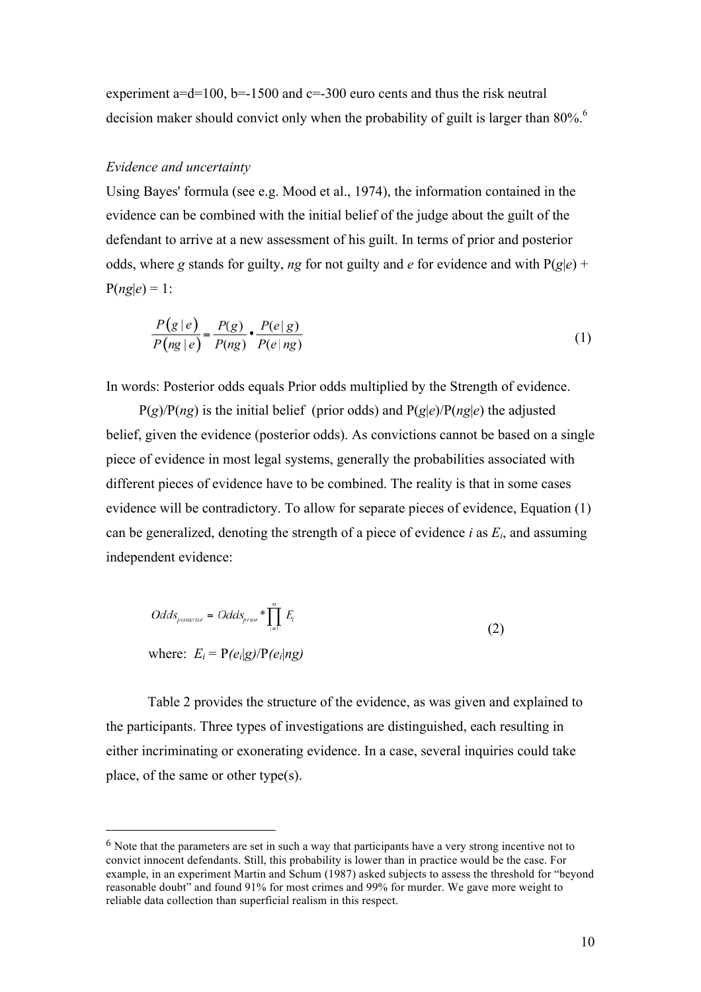experiment a=d=100, b=-1500 and c=-300 euro cents and thus the risk neutral decision maker should convict only when the probability of guilt is larger than 80%.<sup>6</sup>

#### *Evidence and uncertainty*

!!!!!!!!!!!!!!!!!!!!!!!!!!!!!!!!!!!!!!!!!!!!!!!!!!!!!!!

Using Bayes' formula (see e.g. Mood et al., 1974), the information contained in the evidence can be combined with the initial belief of the judge about the guilt of the defendant to arrive at a new assessment of his guilt. In terms of prior and posterior odds, where *g* stands for guilty, *ng* for not guilty and *e* for evidence and with  $P(g|e)$  +  $P(ng|e) = 1$ :

$$
\frac{P(g|e)}{P(ng|e)} = \frac{P(g)}{P(ng)} \cdot \frac{P(e|g)}{P(e|ng)}
$$
\n(1)

In words: Posterior odds equals Prior odds multiplied by the Strength of evidence.

 $P(g)/P(ng)$  is the initial belief (prior odds) and  $P(g|e)/P(ng|e)$  the adjusted belief, given the evidence (posterior odds). As convictions cannot be based on a single piece of evidence in most legal systems, generally the probabilities associated with different pieces of evidence have to be combined. The reality is that in some cases evidence will be contradictory. To allow for separate pieces of evidence, Equation (1) can be generalized, denoting the strength of a piece of evidence *i* as *Ei*, and assuming independent evidence:

$$
Odds_{posterior} = Odds_{prior} * \prod_{i=1}^{n} E_i
$$
  
where:  $E_i = P(e_i|g)/P(e_i|ng)$  (2)

Table 2 provides the structure of the evidence, as was given and explained to the participants. Three types of investigations are distinguished, each resulting in either incriminating or exonerating evidence. In a case, several inquiries could take place, of the same or other type(s).

<sup>&</sup>lt;sup>6</sup> Note that the parameters are set in such a way that participants have a very strong incentive not to convict innocent defendants. Still, this probability is lower than in practice would be the case. For example, in an experiment Martin and Schum (1987) asked subjects to assess the threshold for "beyond reasonable doubt" and found 91% for most crimes and 99% for murder. We gave more weight to reliable data collection than superficial realism in this respect.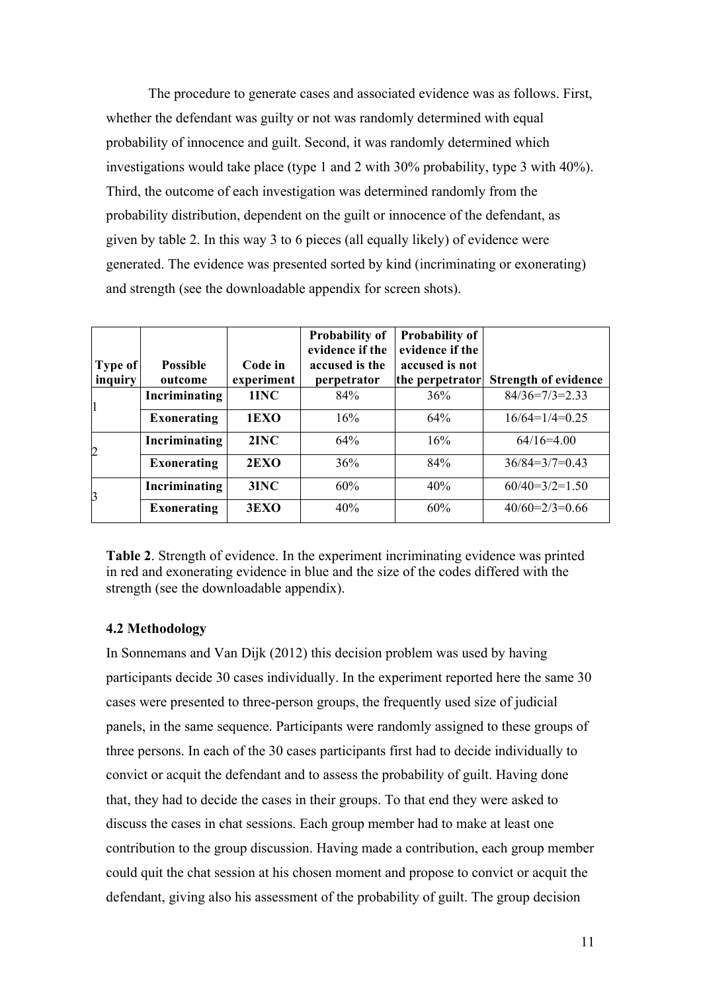The procedure to generate cases and associated evidence was as follows. First, whether the defendant was guilty or not was randomly determined with equal probability of innocence and guilt. Second, it was randomly determined which investigations would take place (type 1 and 2 with 30% probability, type 3 with 40%). Third, the outcome of each investigation was determined randomly from the probability distribution, dependent on the guilt or innocence of the defendant, as given by table 2. In this way 3 to 6 pieces (all equally likely) of evidence were generated. The evidence was presented sorted by kind (incriminating or exonerating) and strength (see the downloadable appendix for screen shots).

| Type of<br>inquiry | <b>Possible</b><br>outcome | Code in<br>experiment | <b>Probability of</b><br>evidence if the<br>accused is the<br>perpetrator | <b>Probability of</b><br>evidence if the<br>accused is not<br>the perpetrator | <b>Strength of evidence</b> |
|--------------------|----------------------------|-----------------------|---------------------------------------------------------------------------|-------------------------------------------------------------------------------|-----------------------------|
| 11                 | Incriminating              | 1INC                  | 84%                                                                       | 36%                                                                           | $84/36=7/3=2.33$            |
|                    | <b>Exonerating</b>         | 1EX <sub>O</sub>      | 16%                                                                       | 64%                                                                           | $16/64=1/4=0.25$            |
| $\overline{2}$     | Incriminating              | 2INC                  | 64%                                                                       | 16%                                                                           | $64/16=4.00$                |
|                    | <b>Exonerating</b>         | 2EXO                  | 36%                                                                       | 84%                                                                           | $36/84=3/7=0.43$            |
| β                  | Incriminating              | 3INC                  | 60%                                                                       | 40%                                                                           | $60/40=3/2=1.50$            |
|                    | <b>Exonerating</b>         | <b>3EXO</b>           | 40%                                                                       | 60%                                                                           | $40/60=2/3=0.66$            |

**Table 2**. Strength of evidence. In the experiment incriminating evidence was printed in red and exonerating evidence in blue and the size of the codes differed with the strength (see the downloadable appendix).

#### **4.2 Methodology**

In Sonnemans and Van Dijk (2012) this decision problem was used by having participants decide 30 cases individually. In the experiment reported here the same 30 cases were presented to three-person groups, the frequently used size of judicial panels, in the same sequence. Participants were randomly assigned to these groups of three persons. In each of the 30 cases participants first had to decide individually to convict or acquit the defendant and to assess the probability of guilt. Having done that, they had to decide the cases in their groups. To that end they were asked to discuss the cases in chat sessions. Each group member had to make at least one contribution to the group discussion. Having made a contribution, each group member could quit the chat session at his chosen moment and propose to convict or acquit the defendant, giving also his assessment of the probability of guilt. The group decision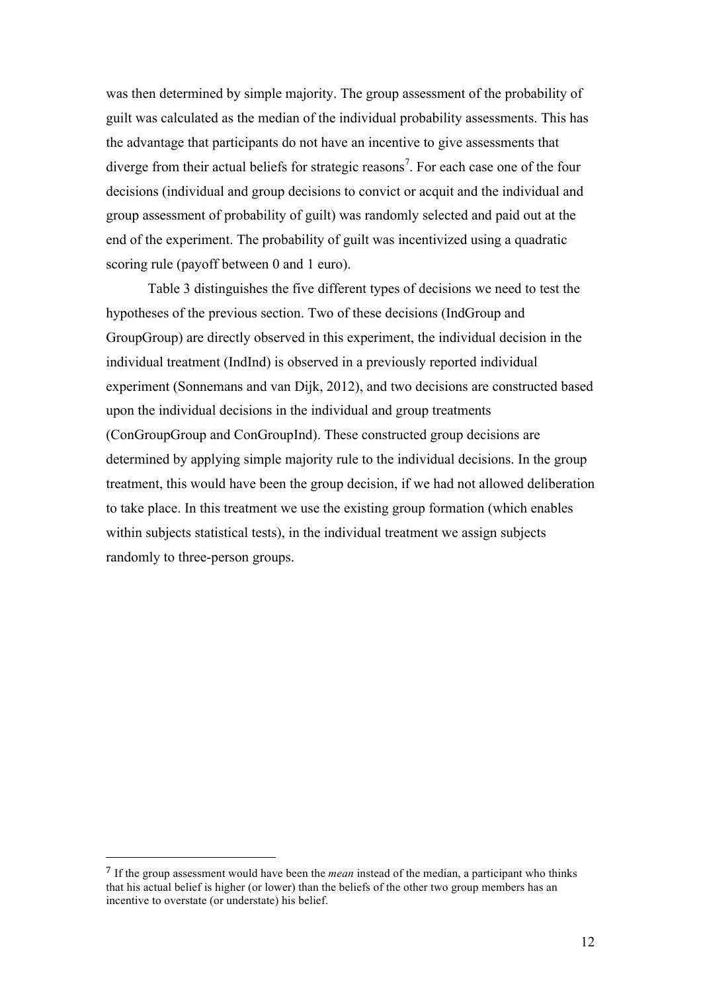was then determined by simple majority. The group assessment of the probability of guilt was calculated as the median of the individual probability assessments. This has the advantage that participants do not have an incentive to give assessments that diverge from their actual beliefs for strategic reasons<sup>7</sup>. For each case one of the four decisions (individual and group decisions to convict or acquit and the individual and group assessment of probability of guilt) was randomly selected and paid out at the end of the experiment. The probability of guilt was incentivized using a quadratic scoring rule (payoff between 0 and 1 euro).

Table 3 distinguishes the five different types of decisions we need to test the hypotheses of the previous section. Two of these decisions (IndGroup and GroupGroup) are directly observed in this experiment, the individual decision in the individual treatment (IndInd) is observed in a previously reported individual experiment (Sonnemans and van Dijk, 2012), and two decisions are constructed based upon the individual decisions in the individual and group treatments (ConGroupGroup and ConGroupInd). These constructed group decisions are determined by applying simple majority rule to the individual decisions. In the group treatment, this would have been the group decision, if we had not allowed deliberation to take place. In this treatment we use the existing group formation (which enables within subjects statistical tests), in the individual treatment we assign subjects randomly to three-person groups.

!!!!!!!!!!!!!!!!!!!!!!!!!!!!!!!!!!!!!!!!!!!!!!!!!!!!!!!

<sup>7</sup> If the group assessment would have been the *mean* instead of the median, a participant who thinks that his actual belief is higher (or lower) than the beliefs of the other two group members has an incentive to overstate (or understate) his belief.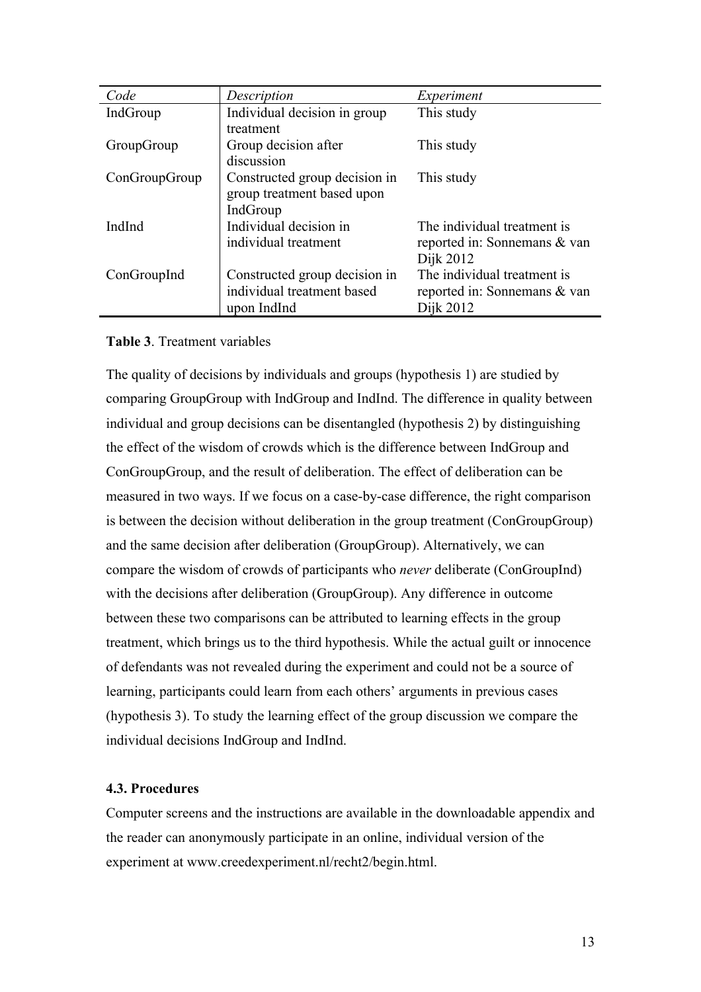| Code          | Description                   | Experiment                   |
|---------------|-------------------------------|------------------------------|
| IndGroup      | Individual decision in group  | This study                   |
|               | treatment                     |                              |
| GroupGroup    | Group decision after          | This study                   |
|               | discussion                    |                              |
| ConGroupGroup | Constructed group decision in | This study                   |
|               | group treatment based upon    |                              |
|               | IndGroup                      |                              |
| IndInd        | Individual decision in        | The individual treatment is  |
|               | individual treatment          | reported in: Sonnemans & van |
|               |                               | Dijk 2012                    |
| ConGroupInd   | Constructed group decision in | The individual treatment is  |
|               | individual treatment based    | reported in: Sonnemans & van |
|               | upon IndInd                   | Dijk 2012                    |

## **Table 3**. Treatment variables

The quality of decisions by individuals and groups (hypothesis 1) are studied by comparing GroupGroup with IndGroup and IndInd. The difference in quality between individual and group decisions can be disentangled (hypothesis 2) by distinguishing the effect of the wisdom of crowds which is the difference between IndGroup and ConGroupGroup, and the result of deliberation. The effect of deliberation can be measured in two ways. If we focus on a case-by-case difference, the right comparison is between the decision without deliberation in the group treatment (ConGroupGroup) and the same decision after deliberation (GroupGroup). Alternatively, we can compare the wisdom of crowds of participants who *never* deliberate (ConGroupInd) with the decisions after deliberation (GroupGroup). Any difference in outcome between these two comparisons can be attributed to learning effects in the group treatment, which brings us to the third hypothesis. While the actual guilt or innocence of defendants was not revealed during the experiment and could not be a source of learning, participants could learn from each others' arguments in previous cases (hypothesis 3). To study the learning effect of the group discussion we compare the individual decisions IndGroup and IndInd.

# **4.3. Procedures**

Computer screens and the instructions are available in the downloadable appendix and the reader can anonymously participate in an online, individual version of the experiment at www.creedexperiment.nl/recht2/begin.html.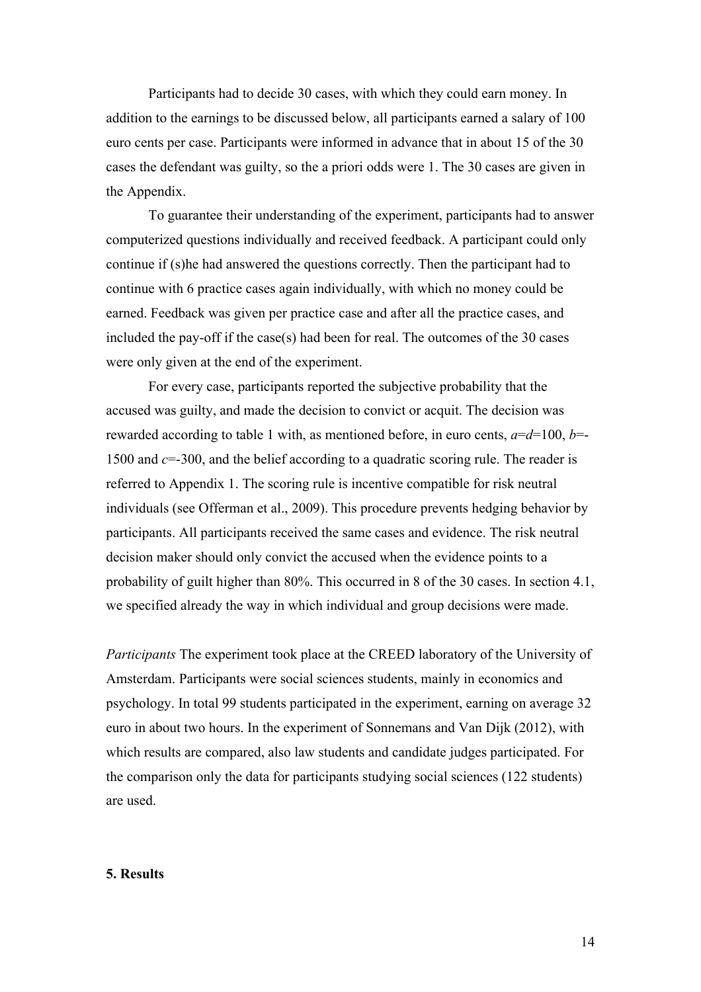Participants had to decide 30 cases, with which they could earn money. In addition to the earnings to be discussed below, all participants earned a salary of 100 euro cents per case. Participants were informed in advance that in about 15 of the 30 cases the defendant was guilty, so the a priori odds were 1. The 30 cases are given in the Appendix.

To guarantee their understanding of the experiment, participants had to answer computerized questions individually and received feedback. A participant could only continue if (s)he had answered the questions correctly. Then the participant had to continue with 6 practice cases again individually, with which no money could be earned. Feedback was given per practice case and after all the practice cases, and included the pay-off if the case(s) had been for real. The outcomes of the 30 cases were only given at the end of the experiment.

For every case, participants reported the subjective probability that the accused was guilty, and made the decision to convict or acquit. The decision was rewarded according to table 1 with, as mentioned before, in euro cents, *a*=*d*=100, *b*=- 1500 and *c*=-300, and the belief according to a quadratic scoring rule. The reader is referred to Appendix 1. The scoring rule is incentive compatible for risk neutral individuals (see Offerman et al., 2009). This procedure prevents hedging behavior by participants. All participants received the same cases and evidence. The risk neutral decision maker should only convict the accused when the evidence points to a probability of guilt higher than 80%. This occurred in 8 of the 30 cases. In section 4.1, we specified already the way in which individual and group decisions were made.

*Participants* The experiment took place at the CREED laboratory of the University of Amsterdam. Participants were social sciences students, mainly in economics and psychology. In total 99 students participated in the experiment, earning on average 32 euro in about two hours. In the experiment of Sonnemans and Van Dijk (2012), with which results are compared, also law students and candidate judges participated. For the comparison only the data for participants studying social sciences (122 students) are used.

#### **5. Results**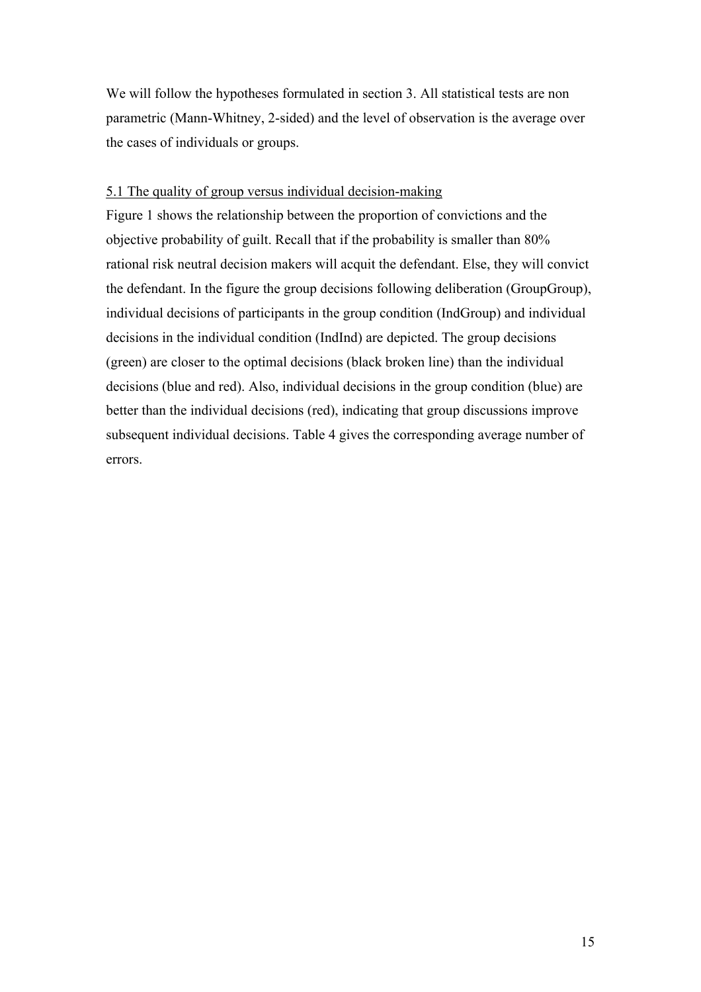We will follow the hypotheses formulated in section 3. All statistical tests are non parametric (Mann-Whitney, 2-sided) and the level of observation is the average over the cases of individuals or groups.

#### 5.1 The quality of group versus individual decision-making

Figure 1 shows the relationship between the proportion of convictions and the objective probability of guilt. Recall that if the probability is smaller than 80% rational risk neutral decision makers will acquit the defendant. Else, they will convict the defendant. In the figure the group decisions following deliberation (GroupGroup), individual decisions of participants in the group condition (IndGroup) and individual decisions in the individual condition (IndInd) are depicted. The group decisions (green) are closer to the optimal decisions (black broken line) than the individual decisions (blue and red). Also, individual decisions in the group condition (blue) are better than the individual decisions (red), indicating that group discussions improve subsequent individual decisions. Table 4 gives the corresponding average number of errors.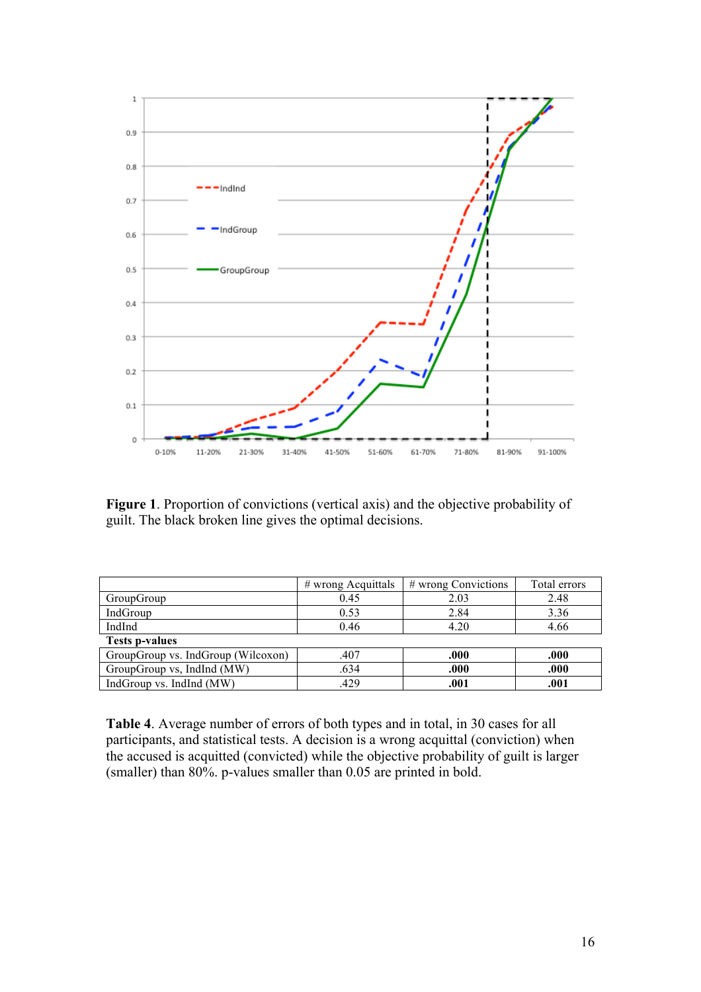

**Figure 1**. Proportion of convictions (vertical axis) and the objective probability of guilt. The black broken line gives the optimal decisions.

|                                      | $#$ wrong Acquittals | # wrong Convictions | Total errors |
|--------------------------------------|----------------------|---------------------|--------------|
| GroupGroup                           | 0.45                 | 2.03                | 2.48         |
| IndGroup                             | 0.53                 | 2.84                | 3.36         |
| IndInd                               | 0.46                 | 4.20                | 4.66         |
| <b>Tests p-values</b>                |                      |                     |              |
| Group Group vs. Ind Group (Wilcoxon) | .407                 | .000                | .000         |
| GroupGroup vs, IndInd (MW)           | .634                 | .000                | .000         |
| IndGroup vs. IndInd (MW)             | 429                  | .001                | .001         |

**Table 4**. Average number of errors of both types and in total, in 30 cases for all participants, and statistical tests. A decision is a wrong acquittal (conviction) when the accused is acquitted (convicted) while the objective probability of guilt is larger (smaller) than 80%. p-values smaller than 0.05 are printed in bold.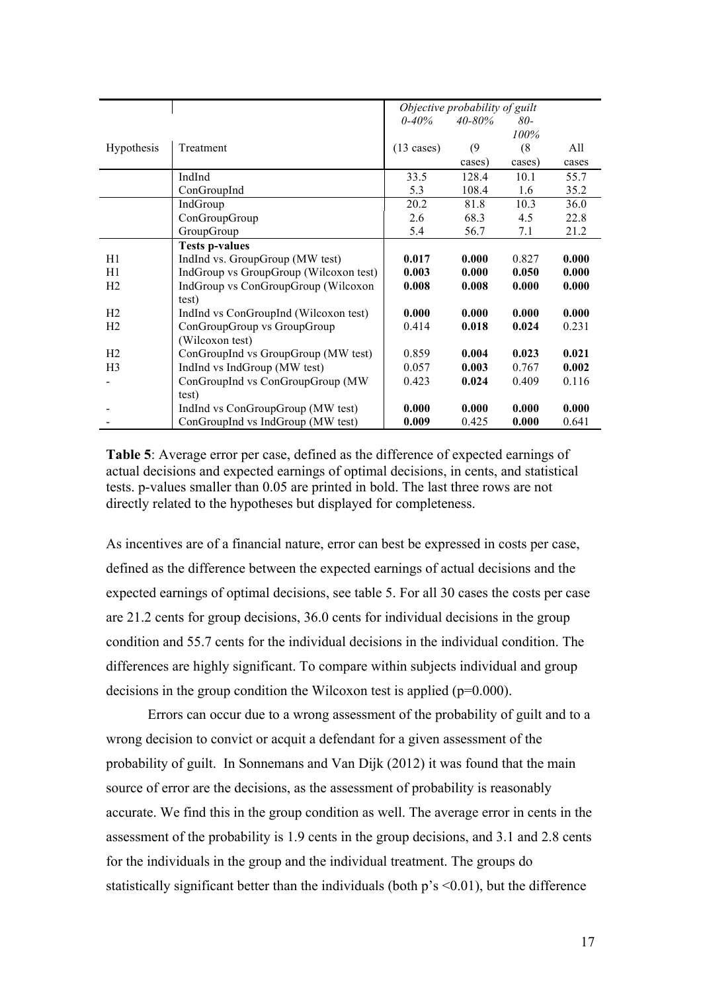|                   |                                        |                      | Objective probability of guilt |        |       |
|-------------------|----------------------------------------|----------------------|--------------------------------|--------|-------|
|                   |                                        | $0 - 40\%$           | $40 - 80\%$                    | $80-$  |       |
|                   |                                        |                      |                                | 100%   |       |
| <b>Hypothesis</b> | Treatment                              | $(13 \text{ cases})$ | (9)                            | (8)    | All   |
|                   |                                        |                      | cases)                         | cases) | cases |
|                   | IndInd                                 | 33.5                 | 128.4                          | 10.1   | 55.7  |
|                   | ConGroupInd                            | 5.3                  | 108.4                          | 1.6    | 35.2  |
|                   | IndGroup                               | 20.2                 | 81.8                           | 10.3   | 36.0  |
|                   | ConGroupGroup                          | 2.6                  | 68.3                           | 4.5    | 22.8  |
|                   | GroupGroup                             | 5.4                  | 56.7                           | 7.1    | 21.2  |
|                   | <b>Tests p-values</b>                  |                      |                                |        |       |
| H1                | IndInd vs. GroupGroup (MW test)        | 0.017                | 0.000                          | 0.827  | 0.000 |
| H1                | IndGroup vs GroupGroup (Wilcoxon test) | 0.003                | 0.000                          | 0.050  | 0.000 |
| H <sub>2</sub>    | IndGroup vs ConGroupGroup (Wilcoxon    | 0.008                | 0.008                          | 0.000  | 0.000 |
|                   | test)                                  |                      |                                |        |       |
| H <sub>2</sub>    | IndInd vs ConGroupInd (Wilcoxon test)  | 0.000                | 0.000                          | 0.000  | 0.000 |
| H2                | ConGroupGroup vs GroupGroup            | 0.414                | 0.018                          | 0.024  | 0.231 |
|                   | (Wilcoxon test)                        |                      |                                |        |       |
| H2                | ConGroupInd vs GroupGroup (MW test)    | 0.859                | 0.004                          | 0.023  | 0.021 |
| H <sub>3</sub>    | IndInd vs IndGroup (MW test)           | 0.057                | 0.003                          | 0.767  | 0.002 |
|                   | ConGroupInd vs ConGroupGroup (MW       | 0.423                | 0.024                          | 0.409  | 0.116 |
|                   | test)                                  |                      |                                |        |       |
|                   | IndInd vs ConGroupGroup (MW test)      | 0.000                | 0.000                          | 0.000  | 0.000 |
|                   | ConGroupInd vs IndGroup (MW test)      | 0.009                | 0.425                          | 0.000  | 0.641 |

**Table 5**: Average error per case, defined as the difference of expected earnings of actual decisions and expected earnings of optimal decisions, in cents, and statistical tests. p-values smaller than 0.05 are printed in bold. The last three rows are not directly related to the hypotheses but displayed for completeness.

As incentives are of a financial nature, error can best be expressed in costs per case, defined as the difference between the expected earnings of actual decisions and the expected earnings of optimal decisions, see table 5. For all 30 cases the costs per case are 21.2 cents for group decisions, 36.0 cents for individual decisions in the group condition and 55.7 cents for the individual decisions in the individual condition. The differences are highly significant. To compare within subjects individual and group decisions in the group condition the Wilcoxon test is applied  $(p=0.000)$ .

Errors can occur due to a wrong assessment of the probability of guilt and to a wrong decision to convict or acquit a defendant for a given assessment of the probability of guilt. In Sonnemans and Van Dijk (2012) it was found that the main source of error are the decisions, as the assessment of probability is reasonably accurate. We find this in the group condition as well. The average error in cents in the assessment of the probability is 1.9 cents in the group decisions, and 3.1 and 2.8 cents for the individuals in the group and the individual treatment. The groups do statistically significant better than the individuals (both p's <0.01), but the difference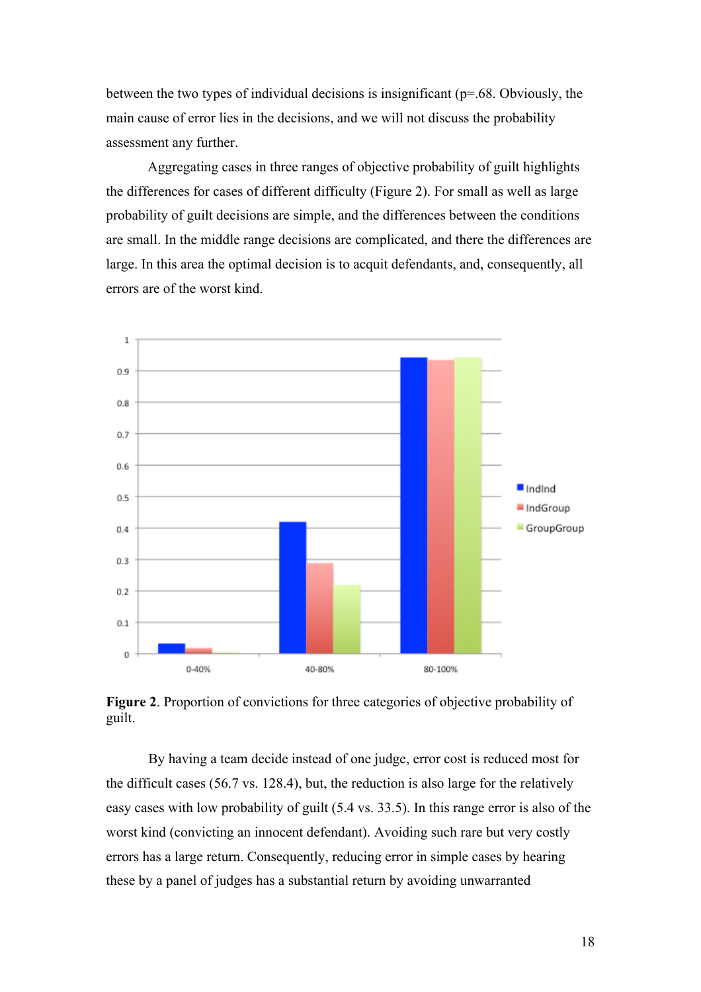between the two types of individual decisions is insignificant (p=.68. Obviously, the main cause of error lies in the decisions, and we will not discuss the probability assessment any further.

Aggregating cases in three ranges of objective probability of guilt highlights the differences for cases of different difficulty (Figure 2). For small as well as large probability of guilt decisions are simple, and the differences between the conditions are small. In the middle range decisions are complicated, and there the differences are large. In this area the optimal decision is to acquit defendants, and, consequently, all errors are of the worst kind.



**Figure 2**. Proportion of convictions for three categories of objective probability of guilt.

By having a team decide instead of one judge, error cost is reduced most for the difficult cases (56.7 vs. 128.4), but, the reduction is also large for the relatively easy cases with low probability of guilt (5.4 vs. 33.5). In this range error is also of the worst kind (convicting an innocent defendant). Avoiding such rare but very costly errors has a large return. Consequently, reducing error in simple cases by hearing these by a panel of judges has a substantial return by avoiding unwarranted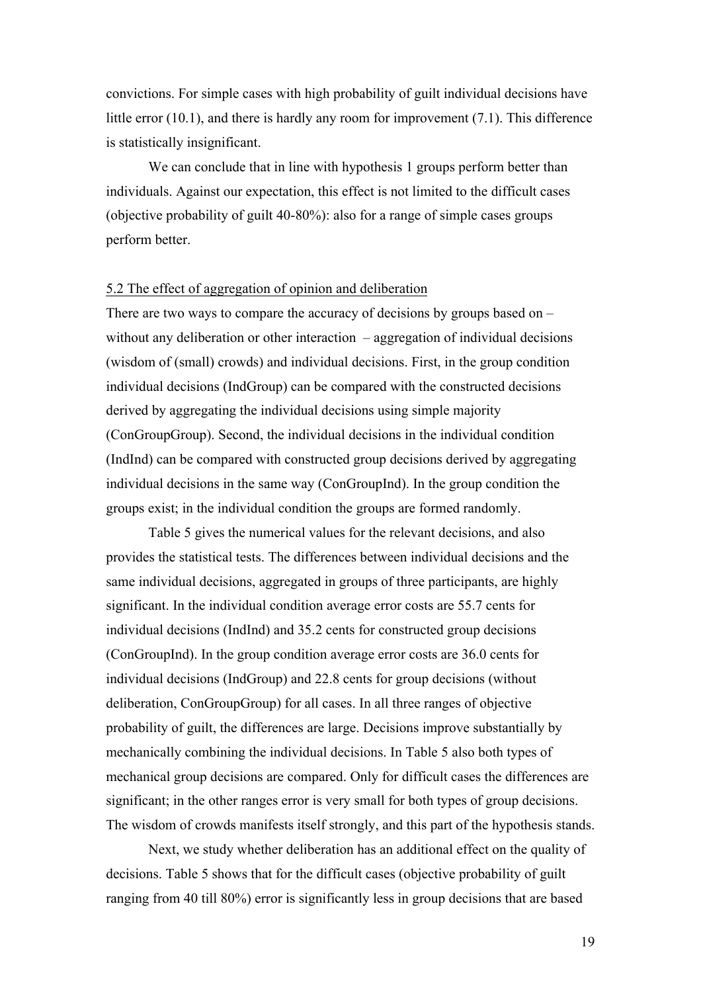convictions. For simple cases with high probability of guilt individual decisions have little error (10.1), and there is hardly any room for improvement (7.1). This difference is statistically insignificant.

We can conclude that in line with hypothesis 1 groups perform better than individuals. Against our expectation, this effect is not limited to the difficult cases (objective probability of guilt 40-80%): also for a range of simple cases groups perform better.

#### 5.2 The effect of aggregation of opinion and deliberation

There are two ways to compare the accuracy of decisions by groups based on – without any deliberation or other interaction – aggregation of individual decisions (wisdom of (small) crowds) and individual decisions. First, in the group condition individual decisions (IndGroup) can be compared with the constructed decisions derived by aggregating the individual decisions using simple majority (ConGroupGroup). Second, the individual decisions in the individual condition (IndInd) can be compared with constructed group decisions derived by aggregating individual decisions in the same way (ConGroupInd). In the group condition the groups exist; in the individual condition the groups are formed randomly.

Table 5 gives the numerical values for the relevant decisions, and also provides the statistical tests. The differences between individual decisions and the same individual decisions, aggregated in groups of three participants, are highly significant. In the individual condition average error costs are 55.7 cents for individual decisions (IndInd) and 35.2 cents for constructed group decisions (ConGroupInd). In the group condition average error costs are 36.0 cents for individual decisions (IndGroup) and 22.8 cents for group decisions (without deliberation, ConGroupGroup) for all cases. In all three ranges of objective probability of guilt, the differences are large. Decisions improve substantially by mechanically combining the individual decisions. In Table 5 also both types of mechanical group decisions are compared. Only for difficult cases the differences are significant; in the other ranges error is very small for both types of group decisions. The wisdom of crowds manifests itself strongly, and this part of the hypothesis stands.

Next, we study whether deliberation has an additional effect on the quality of decisions. Table 5 shows that for the difficult cases (objective probability of guilt ranging from 40 till 80%) error is significantly less in group decisions that are based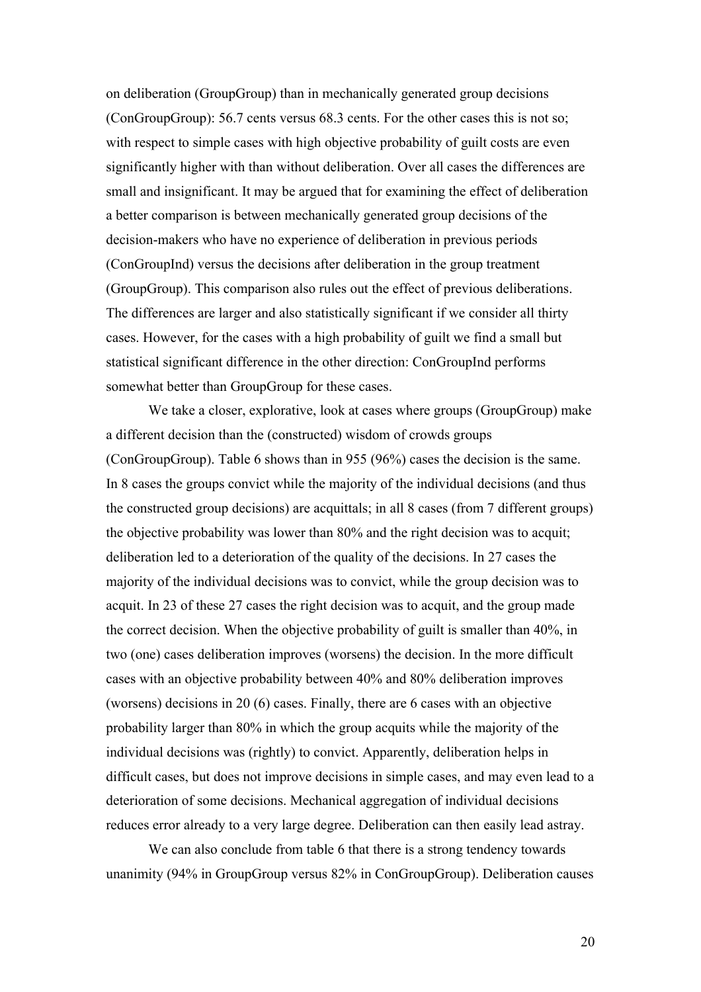on deliberation (GroupGroup) than in mechanically generated group decisions (ConGroupGroup): 56.7 cents versus 68.3 cents. For the other cases this is not so; with respect to simple cases with high objective probability of guilt costs are even significantly higher with than without deliberation. Over all cases the differences are small and insignificant. It may be argued that for examining the effect of deliberation a better comparison is between mechanically generated group decisions of the decision-makers who have no experience of deliberation in previous periods (ConGroupInd) versus the decisions after deliberation in the group treatment (GroupGroup). This comparison also rules out the effect of previous deliberations. The differences are larger and also statistically significant if we consider all thirty cases. However, for the cases with a high probability of guilt we find a small but statistical significant difference in the other direction: ConGroupInd performs somewhat better than GroupGroup for these cases.

We take a closer, explorative, look at cases where groups (GroupGroup) make a different decision than the (constructed) wisdom of crowds groups (ConGroupGroup). Table 6 shows than in 955 (96%) cases the decision is the same. In 8 cases the groups convict while the majority of the individual decisions (and thus the constructed group decisions) are acquittals; in all 8 cases (from 7 different groups) the objective probability was lower than 80% and the right decision was to acquit; deliberation led to a deterioration of the quality of the decisions. In 27 cases the majority of the individual decisions was to convict, while the group decision was to acquit. In 23 of these 27 cases the right decision was to acquit, and the group made the correct decision. When the objective probability of guilt is smaller than 40%, in two (one) cases deliberation improves (worsens) the decision. In the more difficult cases with an objective probability between 40% and 80% deliberation improves (worsens) decisions in 20 (6) cases. Finally, there are 6 cases with an objective probability larger than 80% in which the group acquits while the majority of the individual decisions was (rightly) to convict. Apparently, deliberation helps in difficult cases, but does not improve decisions in simple cases, and may even lead to a deterioration of some decisions. Mechanical aggregation of individual decisions reduces error already to a very large degree. Deliberation can then easily lead astray.

We can also conclude from table 6 that there is a strong tendency towards unanimity (94% in GroupGroup versus 82% in ConGroupGroup). Deliberation causes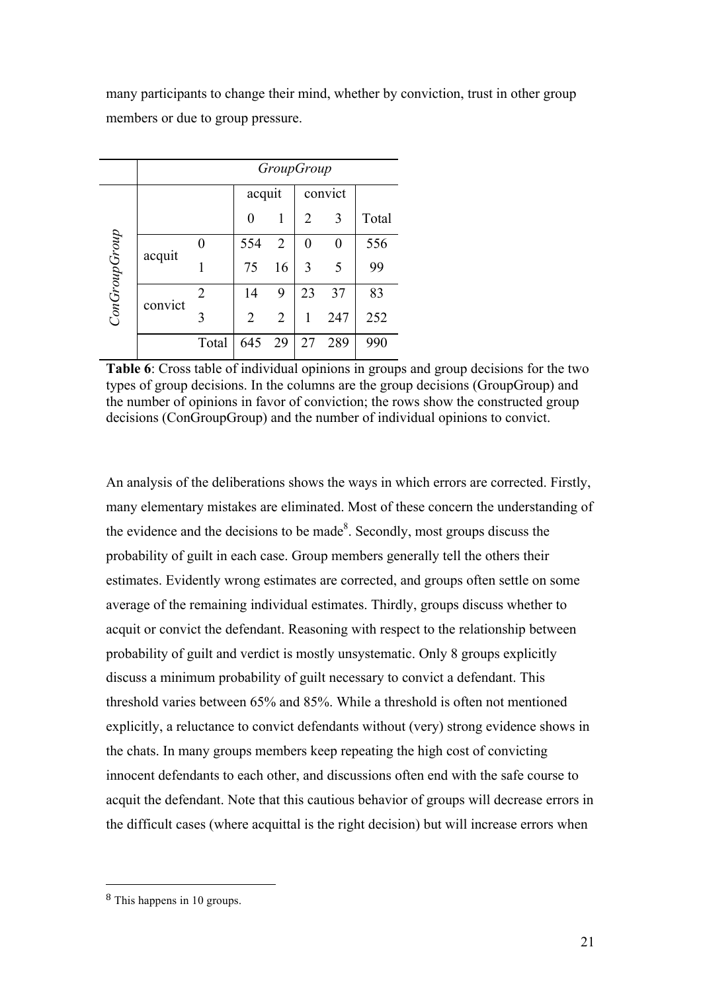many participants to change their mind, whether by conviction, trust in other group members or due to group pressure.

|               | <i>GroupGroup</i> |                |                   |                |                |     |       |  |  |
|---------------|-------------------|----------------|-------------------|----------------|----------------|-----|-------|--|--|
|               |                   |                | acquit<br>convict |                |                |     |       |  |  |
|               |                   |                | 0                 | 1              | $\overline{2}$ | 3   | Total |  |  |
|               |                   | 0              | 554               | 2              | 0              |     | 556   |  |  |
| ConGroupGroup | acquit            |                | 75                | 16             | 3              | 5   | 99    |  |  |
|               |                   | $\overline{2}$ | 14                | 9              | 23             | 37  | 83    |  |  |
|               | convict           | 3              | 2                 | $\overline{2}$ | 1              | 247 | 252   |  |  |
|               |                   | Total          | 645               | 29             | 27             | 289 | 990   |  |  |

**Table 6**: Cross table of individual opinions in groups and group decisions for the two types of group decisions. In the columns are the group decisions (GroupGroup) and the number of opinions in favor of conviction; the rows show the constructed group decisions (ConGroupGroup) and the number of individual opinions to convict.

An analysis of the deliberations shows the ways in which errors are corrected. Firstly, many elementary mistakes are eliminated. Most of these concern the understanding of the evidence and the decisions to be made<sup>8</sup>. Secondly, most groups discuss the probability of guilt in each case. Group members generally tell the others their estimates. Evidently wrong estimates are corrected, and groups often settle on some average of the remaining individual estimates. Thirdly, groups discuss whether to acquit or convict the defendant. Reasoning with respect to the relationship between probability of guilt and verdict is mostly unsystematic. Only 8 groups explicitly discuss a minimum probability of guilt necessary to convict a defendant. This threshold varies between 65% and 85%. While a threshold is often not mentioned explicitly, a reluctance to convict defendants without (very) strong evidence shows in the chats. In many groups members keep repeating the high cost of convicting innocent defendants to each other, and discussions often end with the safe course to acquit the defendant. Note that this cautious behavior of groups will decrease errors in the difficult cases (where acquittal is the right decision) but will increase errors when

!!!!!!!!!!!!!!!!!!!!!!!!!!!!!!!!!!!!!!!!!!!!!!!!!!!!!!!

<sup>8</sup> This happens in 10 groups.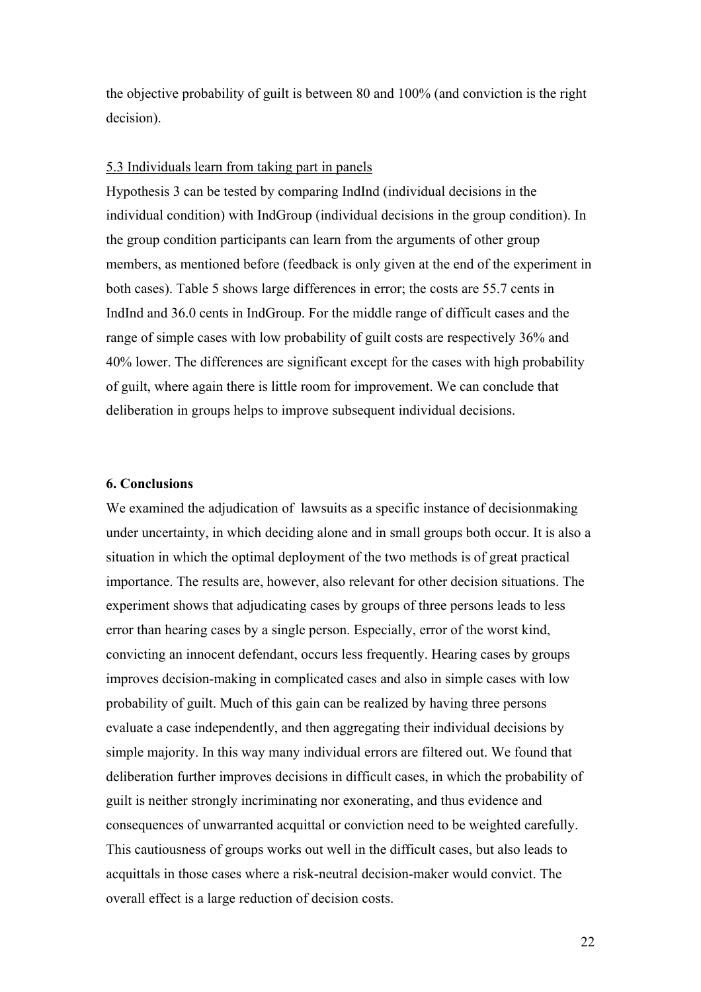the objective probability of guilt is between 80 and 100% (and conviction is the right decision).

#### 5.3 Individuals learn from taking part in panels

Hypothesis 3 can be tested by comparing IndInd (individual decisions in the individual condition) with IndGroup (individual decisions in the group condition). In the group condition participants can learn from the arguments of other group members, as mentioned before (feedback is only given at the end of the experiment in both cases). Table 5 shows large differences in error; the costs are 55.7 cents in IndInd and 36.0 cents in IndGroup. For the middle range of difficult cases and the range of simple cases with low probability of guilt costs are respectively 36% and 40% lower. The differences are significant except for the cases with high probability of guilt, where again there is little room for improvement. We can conclude that deliberation in groups helps to improve subsequent individual decisions.

#### **6. Conclusions**

We examined the adjudication of lawsuits as a specific instance of decisionmaking under uncertainty, in which deciding alone and in small groups both occur. It is also a situation in which the optimal deployment of the two methods is of great practical importance. The results are, however, also relevant for other decision situations. The experiment shows that adjudicating cases by groups of three persons leads to less error than hearing cases by a single person. Especially, error of the worst kind, convicting an innocent defendant, occurs less frequently. Hearing cases by groups improves decision-making in complicated cases and also in simple cases with low probability of guilt. Much of this gain can be realized by having three persons evaluate a case independently, and then aggregating their individual decisions by simple majority. In this way many individual errors are filtered out. We found that deliberation further improves decisions in difficult cases, in which the probability of guilt is neither strongly incriminating nor exonerating, and thus evidence and consequences of unwarranted acquittal or conviction need to be weighted carefully. This cautiousness of groups works out well in the difficult cases, but also leads to acquittals in those cases where a risk-neutral decision-maker would convict. The overall effect is a large reduction of decision costs.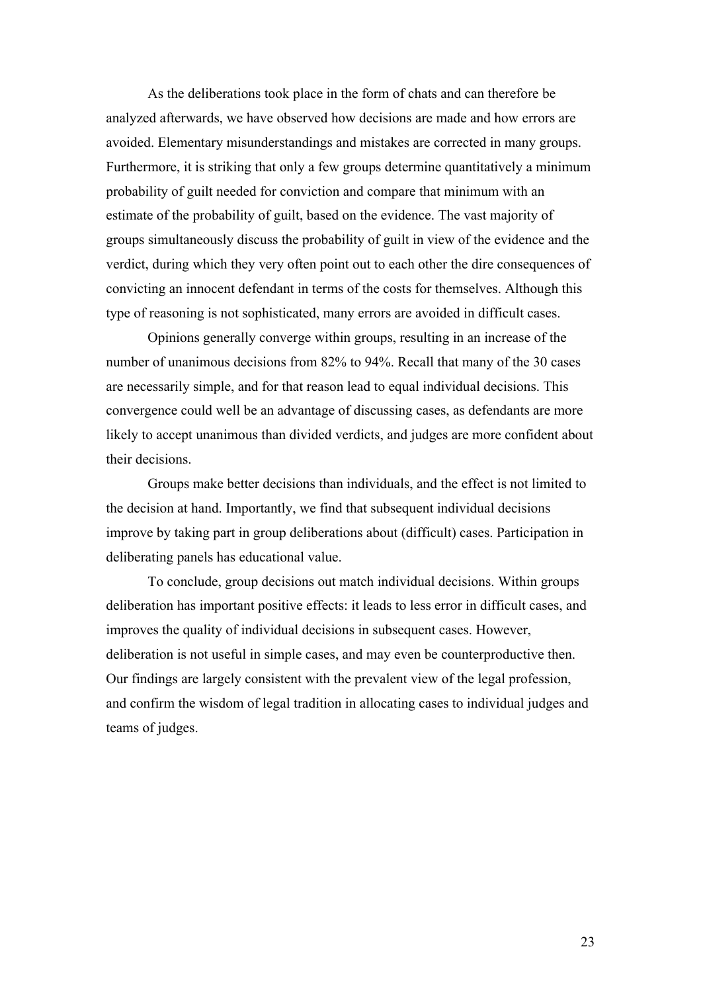As the deliberations took place in the form of chats and can therefore be analyzed afterwards, we have observed how decisions are made and how errors are avoided. Elementary misunderstandings and mistakes are corrected in many groups. Furthermore, it is striking that only a few groups determine quantitatively a minimum probability of guilt needed for conviction and compare that minimum with an estimate of the probability of guilt, based on the evidence. The vast majority of groups simultaneously discuss the probability of guilt in view of the evidence and the verdict, during which they very often point out to each other the dire consequences of convicting an innocent defendant in terms of the costs for themselves. Although this type of reasoning is not sophisticated, many errors are avoided in difficult cases.

Opinions generally converge within groups, resulting in an increase of the number of unanimous decisions from 82% to 94%. Recall that many of the 30 cases are necessarily simple, and for that reason lead to equal individual decisions. This convergence could well be an advantage of discussing cases, as defendants are more likely to accept unanimous than divided verdicts, and judges are more confident about their decisions.

Groups make better decisions than individuals, and the effect is not limited to the decision at hand. Importantly, we find that subsequent individual decisions improve by taking part in group deliberations about (difficult) cases. Participation in deliberating panels has educational value.

To conclude, group decisions out match individual decisions. Within groups deliberation has important positive effects: it leads to less error in difficult cases, and improves the quality of individual decisions in subsequent cases. However, deliberation is not useful in simple cases, and may even be counterproductive then. Our findings are largely consistent with the prevalent view of the legal profession, and confirm the wisdom of legal tradition in allocating cases to individual judges and teams of judges.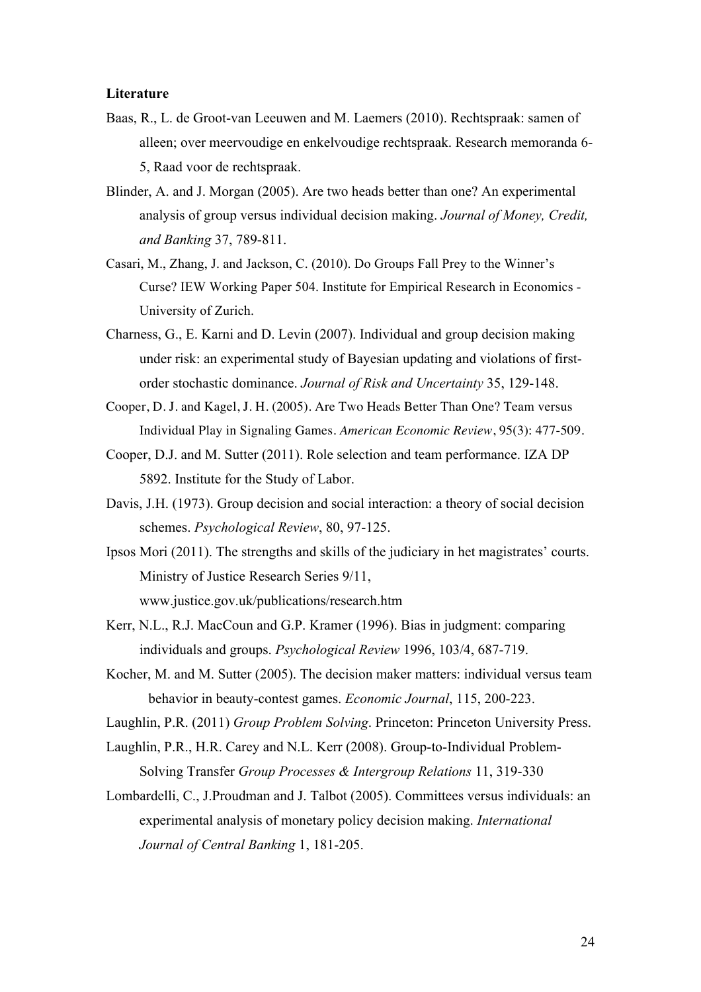#### **Literature**

- Baas, R., L. de Groot-van Leeuwen and M. Laemers (2010). Rechtspraak: samen of alleen; over meervoudige en enkelvoudige rechtspraak. Research memoranda 6- 5, Raad voor de rechtspraak.
- Blinder, A. and J. Morgan (2005). Are two heads better than one? An experimental analysis of group versus individual decision making. *Journal of Money, Credit, and Banking* 37, 789-811.
- Casari, M., Zhang, J. and Jackson, C. (2010). Do Groups Fall Prey to the Winner's Curse? IEW Working Paper 504. Institute for Empirical Research in Economics - University of Zurich.
- Charness, G., E. Karni and D. Levin (2007). Individual and group decision making under risk: an experimental study of Bayesian updating and violations of firstorder stochastic dominance. *Journal of Risk and Uncertainty* 35, 129-148.
- Cooper, D. J. and Kagel, J. H. (2005). Are Two Heads Better Than One? Team versus Individual Play in Signaling Games. *American Economic Review*, 95(3): 477-509.
- Cooper, D.J. and M. Sutter (2011). Role selection and team performance. IZA DP 5892. Institute for the Study of Labor.
- Davis, J.H. (1973). Group decision and social interaction: a theory of social decision schemes. *Psychological Review*, 80, 97-125.
- Ipsos Mori (2011). The strengths and skills of the judiciary in het magistrates' courts. Ministry of Justice Research Series 9/11, www.justice.gov.uk/publications/research.htm
- Kerr, N.L., R.J. MacCoun and G.P. Kramer (1996). Bias in judgment: comparing individuals and groups. *Psychological Review* 1996, 103/4, 687-719.
- Kocher, M. and M. Sutter (2005). The decision maker matters: individual versus team behavior in beauty-contest games. *Economic Journal*, 115, 200-223.
- Laughlin, P.R. (2011) *Group Problem Solving*. Princeton: Princeton University Press.
- Laughlin, P.R., H.R. Carey and N.L. Kerr (2008). Group-to-Individual Problem-Solving Transfer *Group Processes & Intergroup Relations* 11, 319-330
- Lombardelli, C., J.Proudman and J. Talbot (2005). Committees versus individuals: an experimental analysis of monetary policy decision making. *International Journal of Central Banking* 1, 181-205.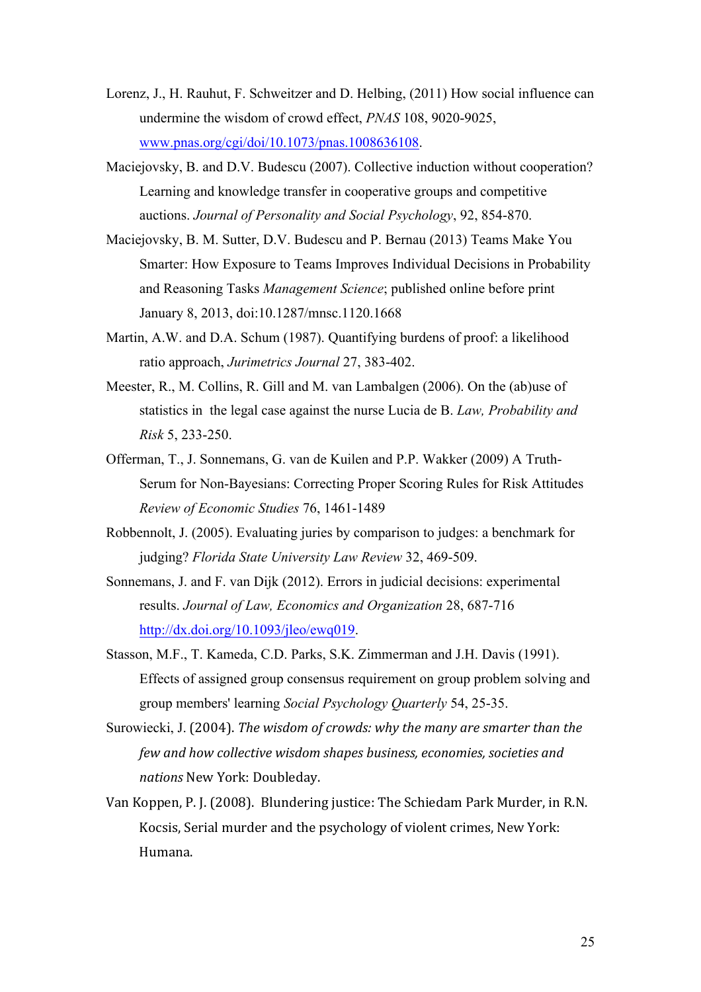- Lorenz, J., H. Rauhut, F. Schweitzer and D. Helbing, (2011) How social influence can undermine the wisdom of crowd effect, *PNAS* 108, 9020-9025, www.pnas.org/cgi/doi/10.1073/pnas.1008636108.
- Maciejovsky, B. and D.V. Budescu (2007). Collective induction without cooperation? Learning and knowledge transfer in cooperative groups and competitive auctions. *Journal of Personality and Social Psychology*, 92, 854-870.
- Maciejovsky, B. M. Sutter, D.V. Budescu and P. Bernau (2013) Teams Make You Smarter: How Exposure to Teams Improves Individual Decisions in Probability and Reasoning Tasks *Management Science*; published online before print January 8, 2013, doi:10.1287/mnsc.1120.1668
- Martin, A.W. and D.A. Schum (1987). Quantifying burdens of proof: a likelihood ratio approach, *Jurimetrics Journal* 27, 383-402.
- Meester, R., M. Collins, R. Gill and M. van Lambalgen (2006). On the (ab)use of statistics in the legal case against the nurse Lucia de B. *Law, Probability and Risk* 5, 233-250.
- Offerman, T., J. Sonnemans, G. van de Kuilen and P.P. Wakker (2009) A Truth-Serum for Non-Bayesians: Correcting Proper Scoring Rules for Risk Attitudes *Review of Economic Studies* 76, 1461-1489
- Robbennolt, J. (2005). Evaluating juries by comparison to judges: a benchmark for judging? *Florida State University Law Review* 32, 469-509.
- Sonnemans, J. and F. van Dijk (2012). Errors in judicial decisions: experimental results. *Journal of Law, Economics and Organization* 28, 687-716 http://dx.doi.org/10.1093/jleo/ewq019.
- Stasson, M.F., T. Kameda, C.D. Parks, S.K. Zimmerman and J.H. Davis (1991). Effects of assigned group consensus requirement on group problem solving and group members' learning *Social Psychology Quarterly* 54, 25-35.
- Surowiecki, J. (2004). *The wisdom of crowds: why the many are smarter than the few\$and\$how\$collective\$wisdom\$shapes\$business,\$economies,\$societies\$and\$ nations* New York: Doubleday.
- Van Koppen, P. J. (2008). Blundering justice: The Schiedam Park Murder, in R.N. Kocsis, Serial murder and the psychology of violent crimes, New York: Humana.!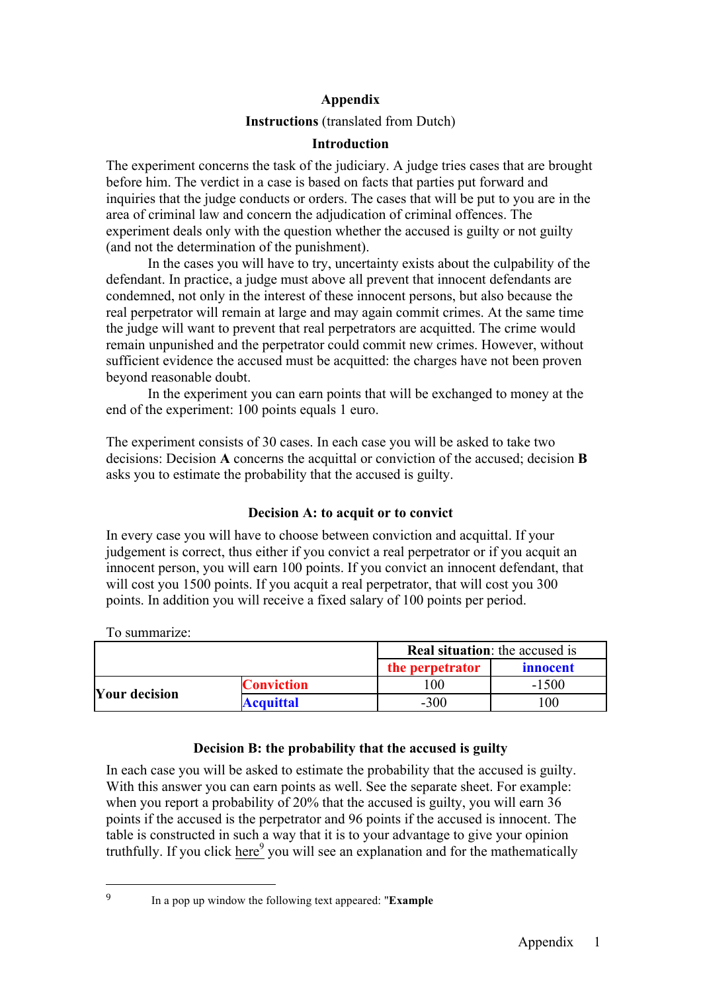# **Appendix**

## **Instructions** (translated from Dutch)

## **Introduction**

The experiment concerns the task of the judiciary. A judge tries cases that are brought before him. The verdict in a case is based on facts that parties put forward and inquiries that the judge conducts or orders. The cases that will be put to you are in the area of criminal law and concern the adjudication of criminal offences. The experiment deals only with the question whether the accused is guilty or not guilty (and not the determination of the punishment).

In the cases you will have to try, uncertainty exists about the culpability of the defendant. In practice, a judge must above all prevent that innocent defendants are condemned, not only in the interest of these innocent persons, but also because the real perpetrator will remain at large and may again commit crimes. At the same time the judge will want to prevent that real perpetrators are acquitted. The crime would remain unpunished and the perpetrator could commit new crimes. However, without sufficient evidence the accused must be acquitted: the charges have not been proven beyond reasonable doubt.

In the experiment you can earn points that will be exchanged to money at the end of the experiment: 100 points equals 1 euro.

The experiment consists of 30 cases. In each case you will be asked to take two decisions: Decision **A** concerns the acquittal or conviction of the accused; decision **B** asks you to estimate the probability that the accused is guilty.

# **Decision A: to acquit or to convict**

In every case you will have to choose between conviction and acquittal. If your judgement is correct, thus either if you convict a real perpetrator or if you acquit an innocent person, you will earn 100 points. If you convict an innocent defendant, that will cost you 1500 points. If you acquit a real perpetrator, that will cost you 300 points. In addition you will receive a fixed salary of 100 points per period.

To summarize:

!!!!!!!!!!!!!!!!!!!!!!!!!!!!!!!!!!!!!!!!!!!!!!!!!!!!!!!

|                      |                   |                 | <b>Real situation:</b> the accused is |
|----------------------|-------------------|-----------------|---------------------------------------|
|                      |                   | the perpetrator | <i>innocent</i>                       |
|                      | <b>Conviction</b> | 00              | $-1500$                               |
| <b>Your decision</b> | <b>Acquittal</b>  | -300            | $_{00}$                               |

# **Decision B: the probability that the accused is guilty**

In each case you will be asked to estimate the probability that the accused is guilty. With this answer you can earn points as well. See the separate sheet. For example: when you report a probability of 20% that the accused is guilty, you will earn 36 points if the accused is the perpetrator and 96 points if the accused is innocent. The table is constructed in such a way that it is to your advantage to give your opinion truthfully. If you click here $9$  you will see an explanation and for the mathematically

<sup>9</sup> In a pop up window the following text appeared: "**Example**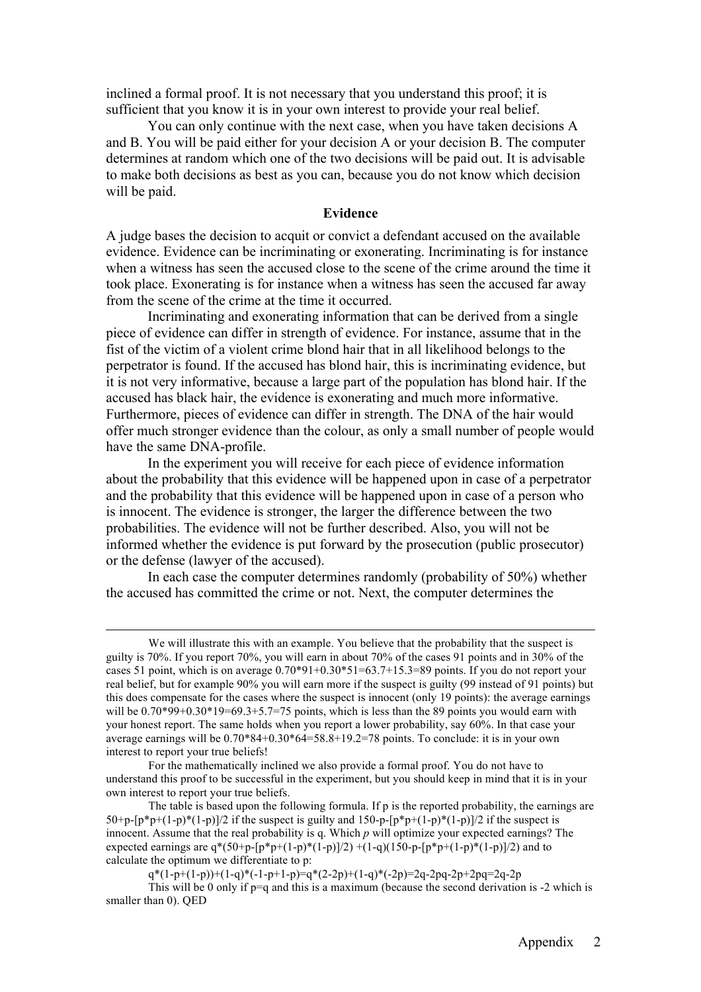inclined a formal proof. It is not necessary that you understand this proof; it is sufficient that you know it is in your own interest to provide your real belief.

You can only continue with the next case, when you have taken decisions A and B. You will be paid either for your decision A or your decision B. The computer determines at random which one of the two decisions will be paid out. It is advisable to make both decisions as best as you can, because you do not know which decision will be paid.

#### **Evidence**

A judge bases the decision to acquit or convict a defendant accused on the available evidence. Evidence can be incriminating or exonerating. Incriminating is for instance when a witness has seen the accused close to the scene of the crime around the time it took place. Exonerating is for instance when a witness has seen the accused far away from the scene of the crime at the time it occurred.

Incriminating and exonerating information that can be derived from a single piece of evidence can differ in strength of evidence. For instance, assume that in the fist of the victim of a violent crime blond hair that in all likelihood belongs to the perpetrator is found. If the accused has blond hair, this is incriminating evidence, but it is not very informative, because a large part of the population has blond hair. If the accused has black hair, the evidence is exonerating and much more informative. Furthermore, pieces of evidence can differ in strength. The DNA of the hair would offer much stronger evidence than the colour, as only a small number of people would have the same DNA-profile.

In the experiment you will receive for each piece of evidence information about the probability that this evidence will be happened upon in case of a perpetrator and the probability that this evidence will be happened upon in case of a person who is innocent. The evidence is stronger, the larger the difference between the two probabilities. The evidence will not be further described. Also, you will not be informed whether the evidence is put forward by the prosecution (public prosecutor) or the defense (lawyer of the accused).

In each case the computer determines randomly (probability of 50%) whether the accused has committed the crime or not. Next, the computer determines the

!!!!!!!!!!!!!!!!!!!!!!!!!!!!!!!!!!!!!!!!!!!!!!!!!!!!!!!!!!!!!!!!!!!!!!!!!!!!!!!!!!!!!!!!!!!!!!!!!!!!!!!!!!!!!!!!!!!!!!!!!!!!!!!!!!!!!!!!!!!!!!!!!!!!!!!!!!!!!!

For the mathematically inclined we also provide a formal proof. You do not have to understand this proof to be successful in the experiment, but you should keep in mind that it is in your own interest to report your true beliefs.

The table is based upon the following formula. If p is the reported probability, the earnings are  $50+p-[p*p+(1-p)*(1-p)]/2$  if the suspect is guilty and  $150-p-[p*p+(1-p)*(1-p)]/2$  if the suspect is innocent. Assume that the real probability is q. Which *p* will optimize your expected earnings? The expected earnings are  $q^*(50+p-[p*p+(1-p)*(1-p)]/2)$  +(1-q)(150-p-[p\*p+(1-p)\*(1-p)]/2) and to calculate the optimum we differentiate to p:

 $q*(1-p+(1-p))+(1-q)*(-1-p+1-p)=q*(2-2p)+(1-q)*(-2p)=2q-2pq-2p+2pq=2q-2p$ 

This will be 0 only if  $p=q$  and this is a maximum (because the second derivation is  $-2$  which is smaller than 0). QED

We will illustrate this with an example. You believe that the probability that the suspect is guilty is 70%. If you report 70%, you will earn in about 70% of the cases 91 points and in 30% of the cases 51 point, which is on average  $0.70*91+0.30*51=63.7+15.3=89$  points. If you do not report your real belief, but for example 90% you will earn more if the suspect is guilty (99 instead of 91 points) but this does compensate for the cases where the suspect is innocent (only 19 points): the average earnings will be  $0.70*99+0.30*19=69.3+5.7=75$  points, which is less than the 89 points you would earn with your honest report. The same holds when you report a lower probability, say 60%. In that case your average earnings will be 0.70\*84+0.30\*64=58.8+19.2=78 points. To conclude: it is in your own interest to report your true beliefs!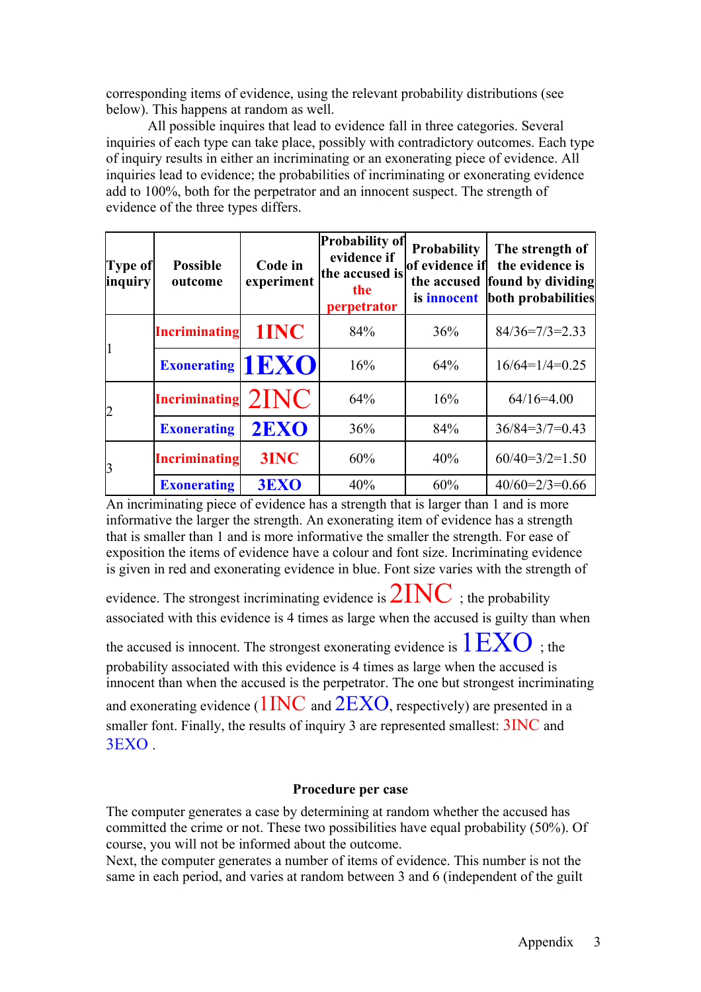corresponding items of evidence, using the relevant probability distributions (see below). This happens at random as well.

All possible inquires that lead to evidence fall in three categories. Several inquiries of each type can take place, possibly with contradictory outcomes. Each type of inquiry results in either an incriminating or an exonerating piece of evidence. All inquiries lead to evidence; the probabilities of incriminating or exonerating evidence add to 100%, both for the perpetrator and an innocent suspect. The strength of evidence of the three types differs.

| <b>Type of</b><br>inquiry | <b>Possible</b><br>outcome | Code in<br>experiment | <b>Probability of</b><br>evidence if<br>the accused is<br>the<br>perpetrator | <b>Probability</b><br>is innocent | The strength of<br>of evidence if the evidence is<br>the accused found by dividing<br><b>both probabilities</b> |
|---------------------------|----------------------------|-----------------------|------------------------------------------------------------------------------|-----------------------------------|-----------------------------------------------------------------------------------------------------------------|
|                           | <b>Incriminating</b>       | 1INC                  | 84%                                                                          | 36%                               | $84/36=7/3=2.33$                                                                                                |
|                           | Exonerating $1EXO$         |                       | 16%                                                                          | 64%                               | $16/64=1/4=0.25$                                                                                                |
| 2 <br>3                   | <b>Incriminating</b>       | 2 <sub>INC</sub>      | 64%                                                                          | 16%                               | $64/16=4.00$                                                                                                    |
|                           | <b>Exonerating</b>         | <b>2EXO</b>           | 36%                                                                          | 84%                               | $36/84=3/7=0.43$                                                                                                |
|                           | <b>Incriminating</b>       | 3INC                  | 60%                                                                          | 40%                               | $60/40=3/2=1.50$                                                                                                |
|                           | <b>Exonerating</b>         | <b>3EXO</b>           | 40%                                                                          | 60%                               | $40/60=2/3=0.66$                                                                                                |

An incriminating piece of evidence has a strength that is larger than 1 and is more informative the larger the strength. An exonerating item of evidence has a strength that is smaller than 1 and is more informative the smaller the strength. For ease of exposition the items of evidence have a colour and font size. Incriminating evidence is given in red and exonerating evidence in blue. Font size varies with the strength of

evidence. The strongest incriminating evidence is  $2\text{INC}$ ; the probability associated with this evidence is 4 times as large when the accused is guilty than when

the accused is innocent. The strongest exonerating evidence is  $1EXO$ ; the probability associated with this evidence is 4 times as large when the accused is innocent than when the accused is the perpetrator. The one but strongest incriminating and exonerating evidence ( $1\text{INC}$  and  $2\text{EXO}$ , respectively) are presented in a smaller font. Finally, the results of inquiry 3 are represented smallest: 3INC and 3EXO .

# **Procedure per case**

The computer generates a case by determining at random whether the accused has committed the crime or not. These two possibilities have equal probability (50%). Of course, you will not be informed about the outcome.

Next, the computer generates a number of items of evidence. This number is not the same in each period, and varies at random between 3 and 6 (independent of the guilt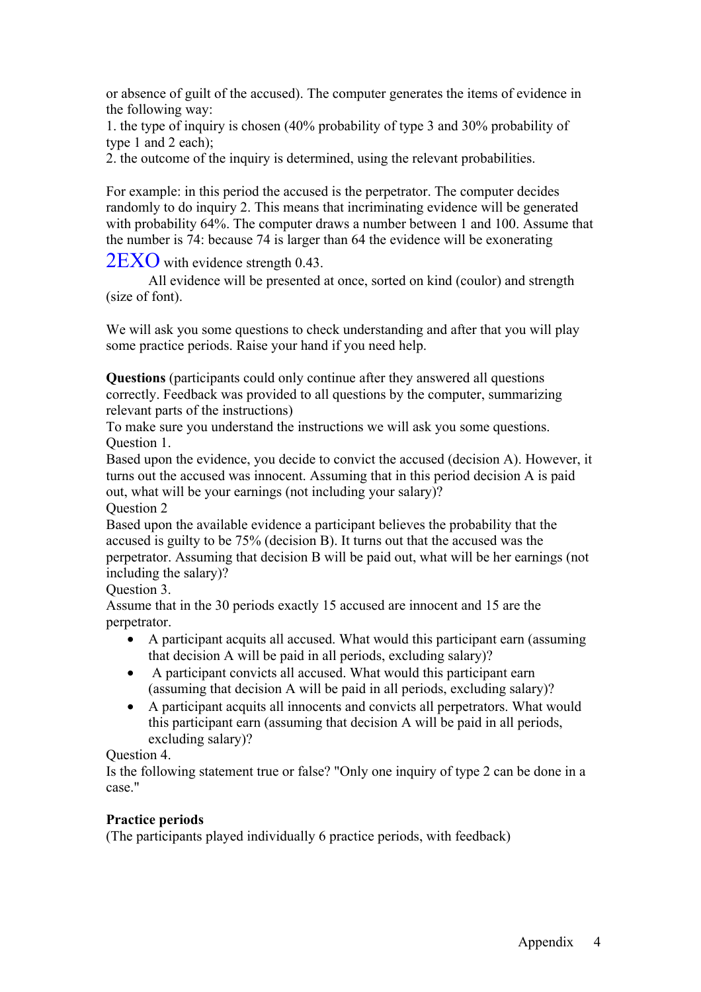or absence of guilt of the accused). The computer generates the items of evidence in the following way:

1. the type of inquiry is chosen (40% probability of type 3 and 30% probability of type 1 and 2 each);

2. the outcome of the inquiry is determined, using the relevant probabilities.

For example: in this period the accused is the perpetrator. The computer decides randomly to do inquiry 2. This means that incriminating evidence will be generated with probability 64%. The computer draws a number between 1 and 100. Assume that the number is 74: because 74 is larger than 64 the evidence will be exonerating

 $2EXO$  with evidence strength 0.43.

All evidence will be presented at once, sorted on kind (coulor) and strength (size of font).

We will ask you some questions to check understanding and after that you will play some practice periods. Raise your hand if you need help.

**Questions** (participants could only continue after they answered all questions correctly. Feedback was provided to all questions by the computer, summarizing relevant parts of the instructions)

To make sure you understand the instructions we will ask you some questions. Question 1.

Based upon the evidence, you decide to convict the accused (decision A). However, it turns out the accused was innocent. Assuming that in this period decision A is paid out, what will be your earnings (not including your salary)?

Question 2 Based upon the available evidence a participant believes the probability that the

accused is guilty to be 75% (decision B). It turns out that the accused was the perpetrator. Assuming that decision B will be paid out, what will be her earnings (not including the salary)?

#### Question 3.

Assume that in the 30 periods exactly 15 accused are innocent and 15 are the perpetrator.

- A participant acquits all accused. What would this participant earn (assuming that decision A will be paid in all periods, excluding salary)?
- A participant convicts all accused. What would this participant earn (assuming that decision A will be paid in all periods, excluding salary)?
- A participant acquits all innocents and convicts all perpetrators. What would this participant earn (assuming that decision A will be paid in all periods, excluding salary)?

#### Question 4.

Is the following statement true or false? "Only one inquiry of type 2 can be done in a case."

# **Practice periods**

(The participants played individually 6 practice periods, with feedback)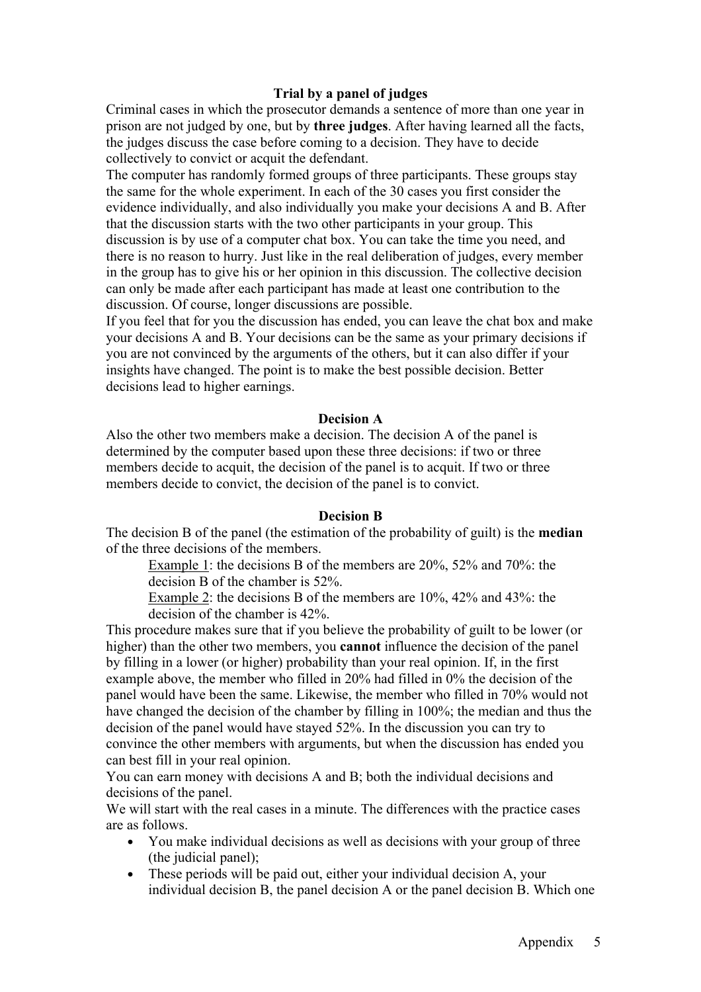## **Trial by a panel of judges**

Criminal cases in which the prosecutor demands a sentence of more than one year in prison are not judged by one, but by **three judges**. After having learned all the facts, the judges discuss the case before coming to a decision. They have to decide collectively to convict or acquit the defendant.

The computer has randomly formed groups of three participants. These groups stay the same for the whole experiment. In each of the 30 cases you first consider the evidence individually, and also individually you make your decisions A and B. After that the discussion starts with the two other participants in your group. This discussion is by use of a computer chat box. You can take the time you need, and there is no reason to hurry. Just like in the real deliberation of judges, every member in the group has to give his or her opinion in this discussion. The collective decision can only be made after each participant has made at least one contribution to the discussion. Of course, longer discussions are possible.

If you feel that for you the discussion has ended, you can leave the chat box and make your decisions A and B. Your decisions can be the same as your primary decisions if you are not convinced by the arguments of the others, but it can also differ if your insights have changed. The point is to make the best possible decision. Better decisions lead to higher earnings.

#### **Decision A**

Also the other two members make a decision. The decision A of the panel is determined by the computer based upon these three decisions: if two or three members decide to acquit, the decision of the panel is to acquit. If two or three members decide to convict, the decision of the panel is to convict.

#### **Decision B**

The decision B of the panel (the estimation of the probability of guilt) is the **median** of the three decisions of the members.

Example 1: the decisions B of the members are 20%, 52% and 70%: the decision B of the chamber is 52%.

Example 2: the decisions B of the members are 10%, 42% and 43%: the decision of the chamber is 42%.

This procedure makes sure that if you believe the probability of guilt to be lower (or higher) than the other two members, you **cannot** influence the decision of the panel by filling in a lower (or higher) probability than your real opinion. If, in the first example above, the member who filled in 20% had filled in 0% the decision of the panel would have been the same. Likewise, the member who filled in 70% would not have changed the decision of the chamber by filling in 100%; the median and thus the decision of the panel would have stayed 52%. In the discussion you can try to convince the other members with arguments, but when the discussion has ended you can best fill in your real opinion.

You can earn money with decisions A and B; both the individual decisions and decisions of the panel.

We will start with the real cases in a minute. The differences with the practice cases are as follows.

- You make individual decisions as well as decisions with your group of three (the judicial panel);
- These periods will be paid out, either your individual decision A, your individual decision B, the panel decision A or the panel decision B. Which one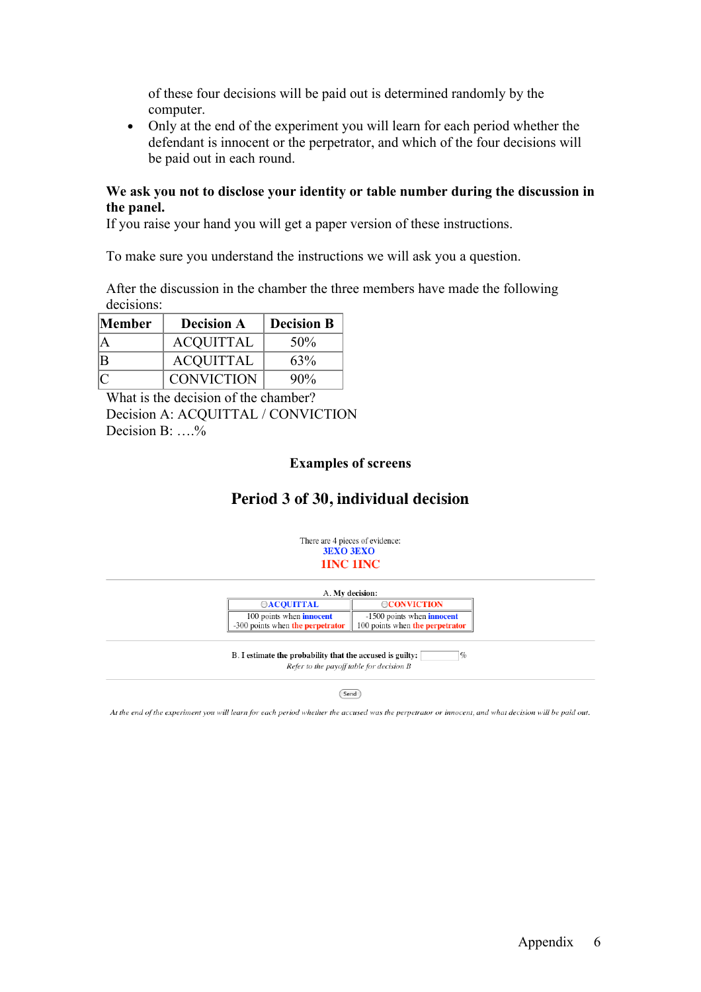of these four decisions will be paid out is determined randomly by the computer.

• Only at the end of the experiment you will learn for each period whether the defendant is innocent or the perpetrator, and which of the four decisions will be paid out in each round.

### **We ask you not to disclose your identity or table number during the discussion in the panel.**

If you raise your hand you will get a paper version of these instructions.

To make sure you understand the instructions we will ask you a question.

After the discussion in the chamber the three members have made the following decisions:

| <b>Member</b> | <b>Decision A</b> | <b>Decision B</b> |
|---------------|-------------------|-------------------|
| А             | <b>ACQUITTAL</b>  | $50\%$            |
| ΙB            | <b>ACQUITTAL</b>  | 63%               |
|               | <b>CONVICTION</b> | $90\%$            |

What is the decision of the chamber? Decision A: ACQUITTAL / CONVICTION Decision B: ....%

# **Examples of screens**

# Period 3 of 30, individual decision

There are 4 pieces of evidence: **3EXO 3EXO** 1INC 1INC



 $\binom{Send}{}$ 

At the end of the experiment you will learn for each period whether the accused was the perpetrator or innocent, and what decision will be paid out.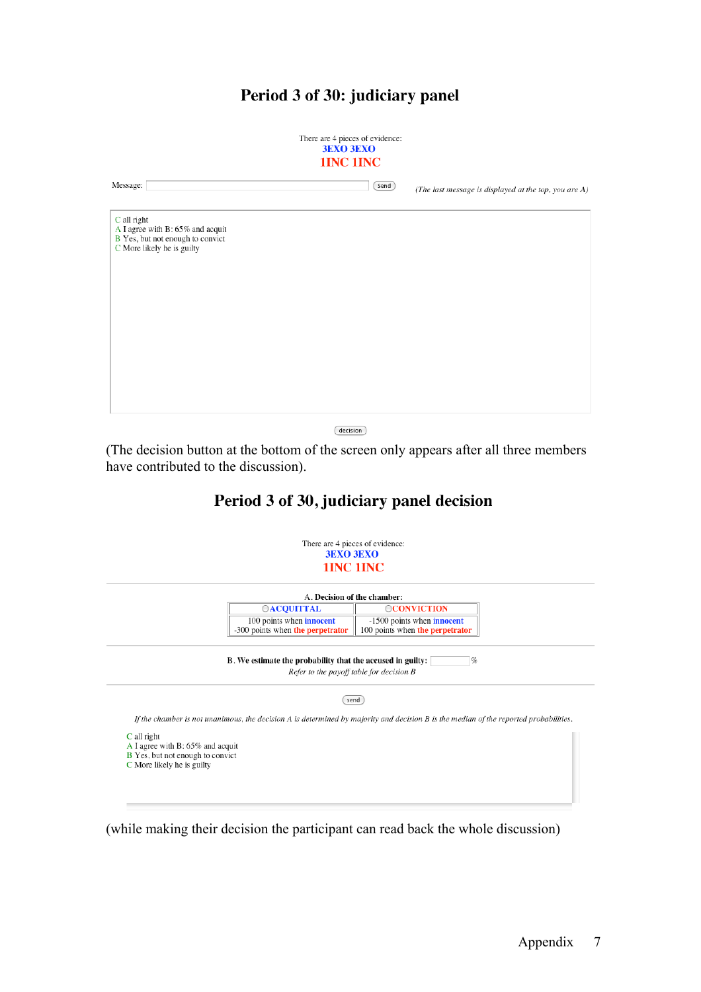# Period 3 of 30: judiciary panel

|                                                                                                                   | There are 4 pieces of evidence:<br><b>3EXO 3EXO</b><br>1INC 1INC |                                                       |
|-------------------------------------------------------------------------------------------------------------------|------------------------------------------------------------------|-------------------------------------------------------|
| Message:                                                                                                          | Send                                                             | (The last message is displayed at the top, you are A) |
| C all right<br>A I agree with B: 65% and acquit<br>B Yes, but not enough to convict<br>C More likely he is guilty |                                                                  |                                                       |

 $\left(\frac{1}{2} + \frac{1}{2} + \frac{1}{2} + \frac{1}{2} + \frac{1}{2} + \frac{1}{2} + \frac{1}{2} + \frac{1}{2} + \frac{1}{2} + \frac{1}{2} + \frac{1}{2} + \frac{1}{2} + \frac{1}{2} + \frac{1}{2} + \frac{1}{2} + \frac{1}{2} + \frac{1}{2} + \frac{1}{2} + \frac{1}{2} + \frac{1}{2} + \frac{1}{2} + \frac{1}{2} + \frac{1}{2} + \frac{1}{2} + \frac{1}{2} + \frac{1}{2} + \frac{1}{2} + \frac$ 

(The decision button at the bottom of the screen only appears after all three members have contributed to the discussion).

# Period 3 of 30, judiciary panel decision

There are 4 pieces of evidence:<br>3EXO 3EXO 1INC 1INC

|                                                                                     | A. Decision of the chamber:                                                                                                           |                                   |  |
|-------------------------------------------------------------------------------------|---------------------------------------------------------------------------------------------------------------------------------------|-----------------------------------|--|
|                                                                                     | <b>OACQUITTAL</b>                                                                                                                     | <b>©CONVICTION</b>                |  |
|                                                                                     | 100 points when <b>innocent</b>                                                                                                       | -1500 points when <b>innocent</b> |  |
|                                                                                     | -300 points when the perpetrator                                                                                                      | 100 points when the perpetrator   |  |
|                                                                                     | B. We estimate the probability that the accused in guilty:<br>Refer to the payoff table for decision B                                | %                                 |  |
|                                                                                     | send                                                                                                                                  |                                   |  |
|                                                                                     | If the chamber is not unanimous, the decision A is determined by majority and decision B is the median of the reported probabilities. |                                   |  |
| C all right<br>A I agree with B: 65% and acquit<br>B Yes, but not enough to convict |                                                                                                                                       |                                   |  |

(while making their decision the participant can read back the whole discussion)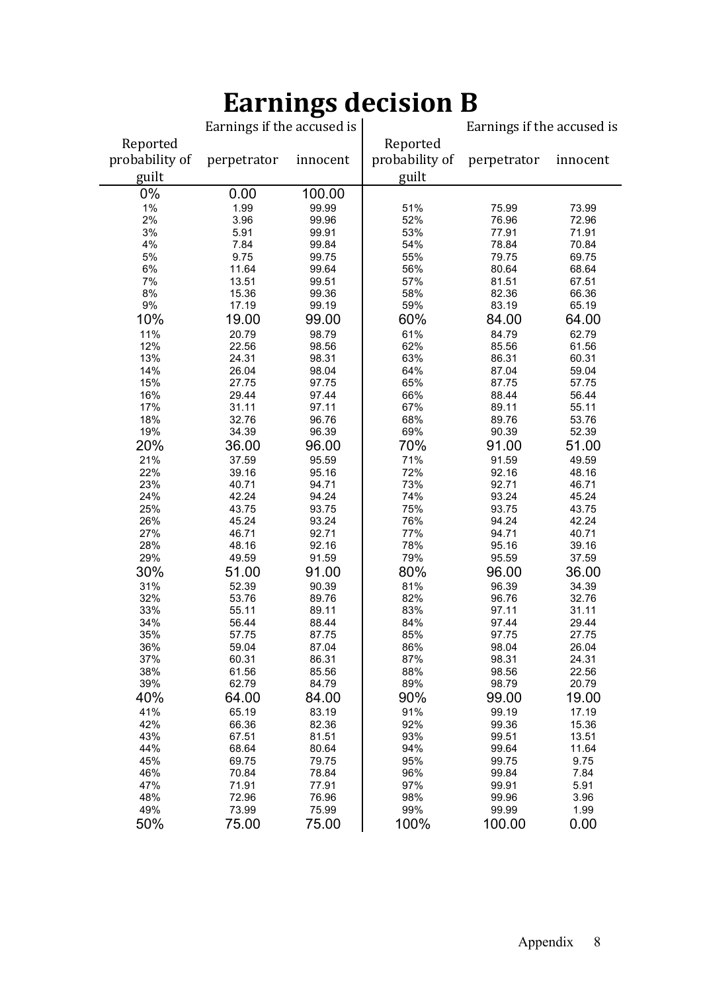| Reported<br>Reported<br>probability of<br>probability of<br>perpetrator<br>perpetrator<br>innocent<br>innocent<br>guilt<br>guilt<br>0%<br>0.00<br>100.00<br>1%<br>1.99<br>99.99<br>51%<br>75.99<br>73.99<br>2%<br>3.96<br>52%<br>99.96<br>76.96<br>72.96<br>3%<br>53%<br>5.91<br>99.91<br>77.91<br>71.91<br>4%<br>7.84<br>54%<br>78.84<br>99.84<br>70.84<br>5%<br>9.75<br>55%<br>79.75<br>99.75<br>69.75<br>6%<br>56%<br>11.64<br>99.64<br>80.64<br>68.64<br>7%<br>13.51<br>99.51<br>57%<br>81.51<br>67.51<br>8%<br>15.36<br>58%<br>99.36<br>82.36<br>66.36<br>9%<br>59%<br>17.19<br>99.19<br>83.19<br>65.19<br>10%<br>60%<br>19.00<br>84.00<br>99.00<br>64.00<br>11%<br>61%<br>20.79<br>98.79<br>84.79<br>62.79<br>12%<br>62%<br>22.56<br>98.56<br>85.56<br>61.56<br>13%<br>63%<br>24.31<br>98.31<br>86.31<br>60.31<br>14%<br>64%<br>26.04<br>98.04<br>87.04<br>59.04<br>15%<br>65%<br>87.75<br>27.75<br>97.75<br>57.75<br>16%<br>66%<br>29.44<br>97.44<br>88.44<br>56.44<br>17%<br>67%<br>31.11<br>97.11<br>89.11<br>55.11<br>18%<br>32.76<br>68%<br>89.76<br>96.76<br>53.76<br>19%<br>69%<br>34.39<br>96.39<br>90.39<br>52.39<br>20%<br>70%<br>36.00<br>96.00<br>91.00<br>51.00<br>21%<br>37.59<br>95.59<br>71%<br>91.59<br>49.59<br>22%<br>72%<br>39.16<br>95.16<br>92.16<br>48.16<br>23%<br>73%<br>40.71<br>94.71<br>92.71<br>46.71<br>24%<br>42.24<br>94.24<br>74%<br>93.24<br>45.24<br>25%<br>43.75<br>93.75<br>75%<br>93.75<br>43.75<br>26%<br>45.24<br>76%<br>93.24<br>94.24<br>42.24<br>27%<br>77%<br>46.71<br>92.71<br>94.71<br>40.71<br>28%<br>78%<br>48.16<br>92.16<br>95.16<br>39.16<br>29%<br>79%<br>49.59<br>91.59<br>95.59<br>37.59<br>30%<br>80%<br>51.00<br>91.00<br>96.00<br>36.00<br>31%<br>81%<br>52.39<br>90.39<br>96.39<br>34.39<br>32%<br>82%<br>53.76<br>89.76<br>96.76<br>32.76<br>33%<br>55.11<br>89.11<br>83%<br>31.11<br>97.11<br>34%<br>88.44<br>84%<br>56.44<br>97.44<br>29.44<br>35%<br>85%<br>57.75<br>87.75<br>97.75<br>27.75<br>86%<br>36%<br>59.04<br>87.04<br>98.04<br>26.04<br>37%<br>60.31<br>86.31<br>87%<br>98.31<br>24.31<br>38%<br>88%<br>61.56<br>85.56<br>98.56<br>22.56<br>39%<br>89%<br>20.79<br>62.79<br>84.79<br>98.79<br>40%<br>90%<br>64.00<br>84.00<br>99.00<br>19.00<br>41%<br>65.19<br>91%<br>83.19<br>99.19<br>17.19<br>42%<br>66.36<br>92%<br>82.36<br>99.36<br>15.36<br>43%<br>93%<br>67.51<br>81.51<br>99.51<br>13.51<br>44%<br>68.64<br>80.64<br>94%<br>99.64<br>11.64<br>45%<br>69.75<br>95%<br>99.75<br>79.75<br>9.75<br>46%<br>70.84<br>78.84<br>96%<br>99.84<br>7.84<br>47%<br>77.91<br>97%<br>99.91<br>5.91<br>71.91<br>48%<br>72.96<br>76.96<br>98%<br>99.96<br>3.96<br>49%<br>73.99<br>75.99<br>99%<br>99.99<br>1.99<br>50%<br>75.00<br>100%<br>75.00<br>100.00<br>0.00 | Earnings if the accused is |  | Earnings if the accused is |  |  |  |
|--------------------------------------------------------------------------------------------------------------------------------------------------------------------------------------------------------------------------------------------------------------------------------------------------------------------------------------------------------------------------------------------------------------------------------------------------------------------------------------------------------------------------------------------------------------------------------------------------------------------------------------------------------------------------------------------------------------------------------------------------------------------------------------------------------------------------------------------------------------------------------------------------------------------------------------------------------------------------------------------------------------------------------------------------------------------------------------------------------------------------------------------------------------------------------------------------------------------------------------------------------------------------------------------------------------------------------------------------------------------------------------------------------------------------------------------------------------------------------------------------------------------------------------------------------------------------------------------------------------------------------------------------------------------------------------------------------------------------------------------------------------------------------------------------------------------------------------------------------------------------------------------------------------------------------------------------------------------------------------------------------------------------------------------------------------------------------------------------------------------------------------------------------------------------------------------------------------------------------------------------------------------------------------------------------------------------------------------------------------------------------------------------------------------------------------------------------------------------------------------------------------------------------------------------------------------------------------------------------------------------------------------------------------------------------------------------------------------------------------------|----------------------------|--|----------------------------|--|--|--|
|                                                                                                                                                                                                                                                                                                                                                                                                                                                                                                                                                                                                                                                                                                                                                                                                                                                                                                                                                                                                                                                                                                                                                                                                                                                                                                                                                                                                                                                                                                                                                                                                                                                                                                                                                                                                                                                                                                                                                                                                                                                                                                                                                                                                                                                                                                                                                                                                                                                                                                                                                                                                                                                                                                                                            |                            |  |                            |  |  |  |
|                                                                                                                                                                                                                                                                                                                                                                                                                                                                                                                                                                                                                                                                                                                                                                                                                                                                                                                                                                                                                                                                                                                                                                                                                                                                                                                                                                                                                                                                                                                                                                                                                                                                                                                                                                                                                                                                                                                                                                                                                                                                                                                                                                                                                                                                                                                                                                                                                                                                                                                                                                                                                                                                                                                                            |                            |  |                            |  |  |  |
|                                                                                                                                                                                                                                                                                                                                                                                                                                                                                                                                                                                                                                                                                                                                                                                                                                                                                                                                                                                                                                                                                                                                                                                                                                                                                                                                                                                                                                                                                                                                                                                                                                                                                                                                                                                                                                                                                                                                                                                                                                                                                                                                                                                                                                                                                                                                                                                                                                                                                                                                                                                                                                                                                                                                            |                            |  |                            |  |  |  |
|                                                                                                                                                                                                                                                                                                                                                                                                                                                                                                                                                                                                                                                                                                                                                                                                                                                                                                                                                                                                                                                                                                                                                                                                                                                                                                                                                                                                                                                                                                                                                                                                                                                                                                                                                                                                                                                                                                                                                                                                                                                                                                                                                                                                                                                                                                                                                                                                                                                                                                                                                                                                                                                                                                                                            |                            |  |                            |  |  |  |
|                                                                                                                                                                                                                                                                                                                                                                                                                                                                                                                                                                                                                                                                                                                                                                                                                                                                                                                                                                                                                                                                                                                                                                                                                                                                                                                                                                                                                                                                                                                                                                                                                                                                                                                                                                                                                                                                                                                                                                                                                                                                                                                                                                                                                                                                                                                                                                                                                                                                                                                                                                                                                                                                                                                                            |                            |  |                            |  |  |  |
|                                                                                                                                                                                                                                                                                                                                                                                                                                                                                                                                                                                                                                                                                                                                                                                                                                                                                                                                                                                                                                                                                                                                                                                                                                                                                                                                                                                                                                                                                                                                                                                                                                                                                                                                                                                                                                                                                                                                                                                                                                                                                                                                                                                                                                                                                                                                                                                                                                                                                                                                                                                                                                                                                                                                            |                            |  |                            |  |  |  |
|                                                                                                                                                                                                                                                                                                                                                                                                                                                                                                                                                                                                                                                                                                                                                                                                                                                                                                                                                                                                                                                                                                                                                                                                                                                                                                                                                                                                                                                                                                                                                                                                                                                                                                                                                                                                                                                                                                                                                                                                                                                                                                                                                                                                                                                                                                                                                                                                                                                                                                                                                                                                                                                                                                                                            |                            |  |                            |  |  |  |
|                                                                                                                                                                                                                                                                                                                                                                                                                                                                                                                                                                                                                                                                                                                                                                                                                                                                                                                                                                                                                                                                                                                                                                                                                                                                                                                                                                                                                                                                                                                                                                                                                                                                                                                                                                                                                                                                                                                                                                                                                                                                                                                                                                                                                                                                                                                                                                                                                                                                                                                                                                                                                                                                                                                                            |                            |  |                            |  |  |  |
|                                                                                                                                                                                                                                                                                                                                                                                                                                                                                                                                                                                                                                                                                                                                                                                                                                                                                                                                                                                                                                                                                                                                                                                                                                                                                                                                                                                                                                                                                                                                                                                                                                                                                                                                                                                                                                                                                                                                                                                                                                                                                                                                                                                                                                                                                                                                                                                                                                                                                                                                                                                                                                                                                                                                            |                            |  |                            |  |  |  |
|                                                                                                                                                                                                                                                                                                                                                                                                                                                                                                                                                                                                                                                                                                                                                                                                                                                                                                                                                                                                                                                                                                                                                                                                                                                                                                                                                                                                                                                                                                                                                                                                                                                                                                                                                                                                                                                                                                                                                                                                                                                                                                                                                                                                                                                                                                                                                                                                                                                                                                                                                                                                                                                                                                                                            |                            |  |                            |  |  |  |
|                                                                                                                                                                                                                                                                                                                                                                                                                                                                                                                                                                                                                                                                                                                                                                                                                                                                                                                                                                                                                                                                                                                                                                                                                                                                                                                                                                                                                                                                                                                                                                                                                                                                                                                                                                                                                                                                                                                                                                                                                                                                                                                                                                                                                                                                                                                                                                                                                                                                                                                                                                                                                                                                                                                                            |                            |  |                            |  |  |  |
|                                                                                                                                                                                                                                                                                                                                                                                                                                                                                                                                                                                                                                                                                                                                                                                                                                                                                                                                                                                                                                                                                                                                                                                                                                                                                                                                                                                                                                                                                                                                                                                                                                                                                                                                                                                                                                                                                                                                                                                                                                                                                                                                                                                                                                                                                                                                                                                                                                                                                                                                                                                                                                                                                                                                            |                            |  |                            |  |  |  |
|                                                                                                                                                                                                                                                                                                                                                                                                                                                                                                                                                                                                                                                                                                                                                                                                                                                                                                                                                                                                                                                                                                                                                                                                                                                                                                                                                                                                                                                                                                                                                                                                                                                                                                                                                                                                                                                                                                                                                                                                                                                                                                                                                                                                                                                                                                                                                                                                                                                                                                                                                                                                                                                                                                                                            |                            |  |                            |  |  |  |
|                                                                                                                                                                                                                                                                                                                                                                                                                                                                                                                                                                                                                                                                                                                                                                                                                                                                                                                                                                                                                                                                                                                                                                                                                                                                                                                                                                                                                                                                                                                                                                                                                                                                                                                                                                                                                                                                                                                                                                                                                                                                                                                                                                                                                                                                                                                                                                                                                                                                                                                                                                                                                                                                                                                                            |                            |  |                            |  |  |  |
|                                                                                                                                                                                                                                                                                                                                                                                                                                                                                                                                                                                                                                                                                                                                                                                                                                                                                                                                                                                                                                                                                                                                                                                                                                                                                                                                                                                                                                                                                                                                                                                                                                                                                                                                                                                                                                                                                                                                                                                                                                                                                                                                                                                                                                                                                                                                                                                                                                                                                                                                                                                                                                                                                                                                            |                            |  |                            |  |  |  |
|                                                                                                                                                                                                                                                                                                                                                                                                                                                                                                                                                                                                                                                                                                                                                                                                                                                                                                                                                                                                                                                                                                                                                                                                                                                                                                                                                                                                                                                                                                                                                                                                                                                                                                                                                                                                                                                                                                                                                                                                                                                                                                                                                                                                                                                                                                                                                                                                                                                                                                                                                                                                                                                                                                                                            |                            |  |                            |  |  |  |
|                                                                                                                                                                                                                                                                                                                                                                                                                                                                                                                                                                                                                                                                                                                                                                                                                                                                                                                                                                                                                                                                                                                                                                                                                                                                                                                                                                                                                                                                                                                                                                                                                                                                                                                                                                                                                                                                                                                                                                                                                                                                                                                                                                                                                                                                                                                                                                                                                                                                                                                                                                                                                                                                                                                                            |                            |  |                            |  |  |  |
|                                                                                                                                                                                                                                                                                                                                                                                                                                                                                                                                                                                                                                                                                                                                                                                                                                                                                                                                                                                                                                                                                                                                                                                                                                                                                                                                                                                                                                                                                                                                                                                                                                                                                                                                                                                                                                                                                                                                                                                                                                                                                                                                                                                                                                                                                                                                                                                                                                                                                                                                                                                                                                                                                                                                            |                            |  |                            |  |  |  |
|                                                                                                                                                                                                                                                                                                                                                                                                                                                                                                                                                                                                                                                                                                                                                                                                                                                                                                                                                                                                                                                                                                                                                                                                                                                                                                                                                                                                                                                                                                                                                                                                                                                                                                                                                                                                                                                                                                                                                                                                                                                                                                                                                                                                                                                                                                                                                                                                                                                                                                                                                                                                                                                                                                                                            |                            |  |                            |  |  |  |
|                                                                                                                                                                                                                                                                                                                                                                                                                                                                                                                                                                                                                                                                                                                                                                                                                                                                                                                                                                                                                                                                                                                                                                                                                                                                                                                                                                                                                                                                                                                                                                                                                                                                                                                                                                                                                                                                                                                                                                                                                                                                                                                                                                                                                                                                                                                                                                                                                                                                                                                                                                                                                                                                                                                                            |                            |  |                            |  |  |  |
|                                                                                                                                                                                                                                                                                                                                                                                                                                                                                                                                                                                                                                                                                                                                                                                                                                                                                                                                                                                                                                                                                                                                                                                                                                                                                                                                                                                                                                                                                                                                                                                                                                                                                                                                                                                                                                                                                                                                                                                                                                                                                                                                                                                                                                                                                                                                                                                                                                                                                                                                                                                                                                                                                                                                            |                            |  |                            |  |  |  |
|                                                                                                                                                                                                                                                                                                                                                                                                                                                                                                                                                                                                                                                                                                                                                                                                                                                                                                                                                                                                                                                                                                                                                                                                                                                                                                                                                                                                                                                                                                                                                                                                                                                                                                                                                                                                                                                                                                                                                                                                                                                                                                                                                                                                                                                                                                                                                                                                                                                                                                                                                                                                                                                                                                                                            |                            |  |                            |  |  |  |
|                                                                                                                                                                                                                                                                                                                                                                                                                                                                                                                                                                                                                                                                                                                                                                                                                                                                                                                                                                                                                                                                                                                                                                                                                                                                                                                                                                                                                                                                                                                                                                                                                                                                                                                                                                                                                                                                                                                                                                                                                                                                                                                                                                                                                                                                                                                                                                                                                                                                                                                                                                                                                                                                                                                                            |                            |  |                            |  |  |  |
|                                                                                                                                                                                                                                                                                                                                                                                                                                                                                                                                                                                                                                                                                                                                                                                                                                                                                                                                                                                                                                                                                                                                                                                                                                                                                                                                                                                                                                                                                                                                                                                                                                                                                                                                                                                                                                                                                                                                                                                                                                                                                                                                                                                                                                                                                                                                                                                                                                                                                                                                                                                                                                                                                                                                            |                            |  |                            |  |  |  |
|                                                                                                                                                                                                                                                                                                                                                                                                                                                                                                                                                                                                                                                                                                                                                                                                                                                                                                                                                                                                                                                                                                                                                                                                                                                                                                                                                                                                                                                                                                                                                                                                                                                                                                                                                                                                                                                                                                                                                                                                                                                                                                                                                                                                                                                                                                                                                                                                                                                                                                                                                                                                                                                                                                                                            |                            |  |                            |  |  |  |
|                                                                                                                                                                                                                                                                                                                                                                                                                                                                                                                                                                                                                                                                                                                                                                                                                                                                                                                                                                                                                                                                                                                                                                                                                                                                                                                                                                                                                                                                                                                                                                                                                                                                                                                                                                                                                                                                                                                                                                                                                                                                                                                                                                                                                                                                                                                                                                                                                                                                                                                                                                                                                                                                                                                                            |                            |  |                            |  |  |  |
|                                                                                                                                                                                                                                                                                                                                                                                                                                                                                                                                                                                                                                                                                                                                                                                                                                                                                                                                                                                                                                                                                                                                                                                                                                                                                                                                                                                                                                                                                                                                                                                                                                                                                                                                                                                                                                                                                                                                                                                                                                                                                                                                                                                                                                                                                                                                                                                                                                                                                                                                                                                                                                                                                                                                            |                            |  |                            |  |  |  |
|                                                                                                                                                                                                                                                                                                                                                                                                                                                                                                                                                                                                                                                                                                                                                                                                                                                                                                                                                                                                                                                                                                                                                                                                                                                                                                                                                                                                                                                                                                                                                                                                                                                                                                                                                                                                                                                                                                                                                                                                                                                                                                                                                                                                                                                                                                                                                                                                                                                                                                                                                                                                                                                                                                                                            |                            |  |                            |  |  |  |
|                                                                                                                                                                                                                                                                                                                                                                                                                                                                                                                                                                                                                                                                                                                                                                                                                                                                                                                                                                                                                                                                                                                                                                                                                                                                                                                                                                                                                                                                                                                                                                                                                                                                                                                                                                                                                                                                                                                                                                                                                                                                                                                                                                                                                                                                                                                                                                                                                                                                                                                                                                                                                                                                                                                                            |                            |  |                            |  |  |  |
|                                                                                                                                                                                                                                                                                                                                                                                                                                                                                                                                                                                                                                                                                                                                                                                                                                                                                                                                                                                                                                                                                                                                                                                                                                                                                                                                                                                                                                                                                                                                                                                                                                                                                                                                                                                                                                                                                                                                                                                                                                                                                                                                                                                                                                                                                                                                                                                                                                                                                                                                                                                                                                                                                                                                            |                            |  |                            |  |  |  |
|                                                                                                                                                                                                                                                                                                                                                                                                                                                                                                                                                                                                                                                                                                                                                                                                                                                                                                                                                                                                                                                                                                                                                                                                                                                                                                                                                                                                                                                                                                                                                                                                                                                                                                                                                                                                                                                                                                                                                                                                                                                                                                                                                                                                                                                                                                                                                                                                                                                                                                                                                                                                                                                                                                                                            |                            |  |                            |  |  |  |
|                                                                                                                                                                                                                                                                                                                                                                                                                                                                                                                                                                                                                                                                                                                                                                                                                                                                                                                                                                                                                                                                                                                                                                                                                                                                                                                                                                                                                                                                                                                                                                                                                                                                                                                                                                                                                                                                                                                                                                                                                                                                                                                                                                                                                                                                                                                                                                                                                                                                                                                                                                                                                                                                                                                                            |                            |  |                            |  |  |  |
|                                                                                                                                                                                                                                                                                                                                                                                                                                                                                                                                                                                                                                                                                                                                                                                                                                                                                                                                                                                                                                                                                                                                                                                                                                                                                                                                                                                                                                                                                                                                                                                                                                                                                                                                                                                                                                                                                                                                                                                                                                                                                                                                                                                                                                                                                                                                                                                                                                                                                                                                                                                                                                                                                                                                            |                            |  |                            |  |  |  |
|                                                                                                                                                                                                                                                                                                                                                                                                                                                                                                                                                                                                                                                                                                                                                                                                                                                                                                                                                                                                                                                                                                                                                                                                                                                                                                                                                                                                                                                                                                                                                                                                                                                                                                                                                                                                                                                                                                                                                                                                                                                                                                                                                                                                                                                                                                                                                                                                                                                                                                                                                                                                                                                                                                                                            |                            |  |                            |  |  |  |
|                                                                                                                                                                                                                                                                                                                                                                                                                                                                                                                                                                                                                                                                                                                                                                                                                                                                                                                                                                                                                                                                                                                                                                                                                                                                                                                                                                                                                                                                                                                                                                                                                                                                                                                                                                                                                                                                                                                                                                                                                                                                                                                                                                                                                                                                                                                                                                                                                                                                                                                                                                                                                                                                                                                                            |                            |  |                            |  |  |  |
|                                                                                                                                                                                                                                                                                                                                                                                                                                                                                                                                                                                                                                                                                                                                                                                                                                                                                                                                                                                                                                                                                                                                                                                                                                                                                                                                                                                                                                                                                                                                                                                                                                                                                                                                                                                                                                                                                                                                                                                                                                                                                                                                                                                                                                                                                                                                                                                                                                                                                                                                                                                                                                                                                                                                            |                            |  |                            |  |  |  |
|                                                                                                                                                                                                                                                                                                                                                                                                                                                                                                                                                                                                                                                                                                                                                                                                                                                                                                                                                                                                                                                                                                                                                                                                                                                                                                                                                                                                                                                                                                                                                                                                                                                                                                                                                                                                                                                                                                                                                                                                                                                                                                                                                                                                                                                                                                                                                                                                                                                                                                                                                                                                                                                                                                                                            |                            |  |                            |  |  |  |
|                                                                                                                                                                                                                                                                                                                                                                                                                                                                                                                                                                                                                                                                                                                                                                                                                                                                                                                                                                                                                                                                                                                                                                                                                                                                                                                                                                                                                                                                                                                                                                                                                                                                                                                                                                                                                                                                                                                                                                                                                                                                                                                                                                                                                                                                                                                                                                                                                                                                                                                                                                                                                                                                                                                                            |                            |  |                            |  |  |  |
|                                                                                                                                                                                                                                                                                                                                                                                                                                                                                                                                                                                                                                                                                                                                                                                                                                                                                                                                                                                                                                                                                                                                                                                                                                                                                                                                                                                                                                                                                                                                                                                                                                                                                                                                                                                                                                                                                                                                                                                                                                                                                                                                                                                                                                                                                                                                                                                                                                                                                                                                                                                                                                                                                                                                            |                            |  |                            |  |  |  |
|                                                                                                                                                                                                                                                                                                                                                                                                                                                                                                                                                                                                                                                                                                                                                                                                                                                                                                                                                                                                                                                                                                                                                                                                                                                                                                                                                                                                                                                                                                                                                                                                                                                                                                                                                                                                                                                                                                                                                                                                                                                                                                                                                                                                                                                                                                                                                                                                                                                                                                                                                                                                                                                                                                                                            |                            |  |                            |  |  |  |
|                                                                                                                                                                                                                                                                                                                                                                                                                                                                                                                                                                                                                                                                                                                                                                                                                                                                                                                                                                                                                                                                                                                                                                                                                                                                                                                                                                                                                                                                                                                                                                                                                                                                                                                                                                                                                                                                                                                                                                                                                                                                                                                                                                                                                                                                                                                                                                                                                                                                                                                                                                                                                                                                                                                                            |                            |  |                            |  |  |  |
|                                                                                                                                                                                                                                                                                                                                                                                                                                                                                                                                                                                                                                                                                                                                                                                                                                                                                                                                                                                                                                                                                                                                                                                                                                                                                                                                                                                                                                                                                                                                                                                                                                                                                                                                                                                                                                                                                                                                                                                                                                                                                                                                                                                                                                                                                                                                                                                                                                                                                                                                                                                                                                                                                                                                            |                            |  |                            |  |  |  |
|                                                                                                                                                                                                                                                                                                                                                                                                                                                                                                                                                                                                                                                                                                                                                                                                                                                                                                                                                                                                                                                                                                                                                                                                                                                                                                                                                                                                                                                                                                                                                                                                                                                                                                                                                                                                                                                                                                                                                                                                                                                                                                                                                                                                                                                                                                                                                                                                                                                                                                                                                                                                                                                                                                                                            |                            |  |                            |  |  |  |
|                                                                                                                                                                                                                                                                                                                                                                                                                                                                                                                                                                                                                                                                                                                                                                                                                                                                                                                                                                                                                                                                                                                                                                                                                                                                                                                                                                                                                                                                                                                                                                                                                                                                                                                                                                                                                                                                                                                                                                                                                                                                                                                                                                                                                                                                                                                                                                                                                                                                                                                                                                                                                                                                                                                                            |                            |  |                            |  |  |  |
|                                                                                                                                                                                                                                                                                                                                                                                                                                                                                                                                                                                                                                                                                                                                                                                                                                                                                                                                                                                                                                                                                                                                                                                                                                                                                                                                                                                                                                                                                                                                                                                                                                                                                                                                                                                                                                                                                                                                                                                                                                                                                                                                                                                                                                                                                                                                                                                                                                                                                                                                                                                                                                                                                                                                            |                            |  |                            |  |  |  |
|                                                                                                                                                                                                                                                                                                                                                                                                                                                                                                                                                                                                                                                                                                                                                                                                                                                                                                                                                                                                                                                                                                                                                                                                                                                                                                                                                                                                                                                                                                                                                                                                                                                                                                                                                                                                                                                                                                                                                                                                                                                                                                                                                                                                                                                                                                                                                                                                                                                                                                                                                                                                                                                                                                                                            |                            |  |                            |  |  |  |
|                                                                                                                                                                                                                                                                                                                                                                                                                                                                                                                                                                                                                                                                                                                                                                                                                                                                                                                                                                                                                                                                                                                                                                                                                                                                                                                                                                                                                                                                                                                                                                                                                                                                                                                                                                                                                                                                                                                                                                                                                                                                                                                                                                                                                                                                                                                                                                                                                                                                                                                                                                                                                                                                                                                                            |                            |  |                            |  |  |  |
|                                                                                                                                                                                                                                                                                                                                                                                                                                                                                                                                                                                                                                                                                                                                                                                                                                                                                                                                                                                                                                                                                                                                                                                                                                                                                                                                                                                                                                                                                                                                                                                                                                                                                                                                                                                                                                                                                                                                                                                                                                                                                                                                                                                                                                                                                                                                                                                                                                                                                                                                                                                                                                                                                                                                            |                            |  |                            |  |  |  |
|                                                                                                                                                                                                                                                                                                                                                                                                                                                                                                                                                                                                                                                                                                                                                                                                                                                                                                                                                                                                                                                                                                                                                                                                                                                                                                                                                                                                                                                                                                                                                                                                                                                                                                                                                                                                                                                                                                                                                                                                                                                                                                                                                                                                                                                                                                                                                                                                                                                                                                                                                                                                                                                                                                                                            |                            |  |                            |  |  |  |
|                                                                                                                                                                                                                                                                                                                                                                                                                                                                                                                                                                                                                                                                                                                                                                                                                                                                                                                                                                                                                                                                                                                                                                                                                                                                                                                                                                                                                                                                                                                                                                                                                                                                                                                                                                                                                                                                                                                                                                                                                                                                                                                                                                                                                                                                                                                                                                                                                                                                                                                                                                                                                                                                                                                                            |                            |  |                            |  |  |  |
|                                                                                                                                                                                                                                                                                                                                                                                                                                                                                                                                                                                                                                                                                                                                                                                                                                                                                                                                                                                                                                                                                                                                                                                                                                                                                                                                                                                                                                                                                                                                                                                                                                                                                                                                                                                                                                                                                                                                                                                                                                                                                                                                                                                                                                                                                                                                                                                                                                                                                                                                                                                                                                                                                                                                            |                            |  |                            |  |  |  |
|                                                                                                                                                                                                                                                                                                                                                                                                                                                                                                                                                                                                                                                                                                                                                                                                                                                                                                                                                                                                                                                                                                                                                                                                                                                                                                                                                                                                                                                                                                                                                                                                                                                                                                                                                                                                                                                                                                                                                                                                                                                                                                                                                                                                                                                                                                                                                                                                                                                                                                                                                                                                                                                                                                                                            |                            |  |                            |  |  |  |

# **Earnings decision B**